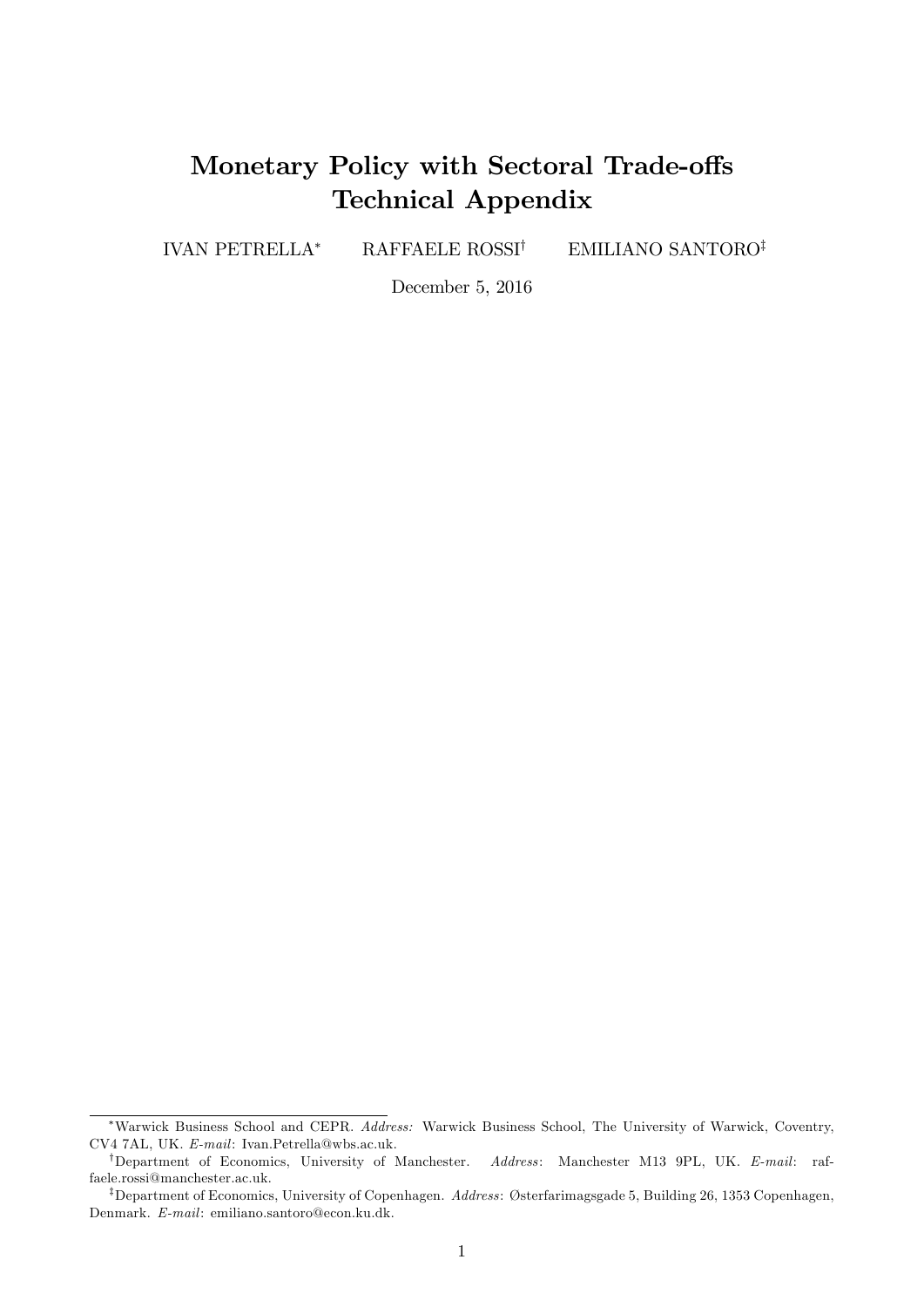# Monetary Policy with Sectoral Trade-offs Technical Appendix

IVAN PETRELLA<sup>\*</sup> RAFFAELE ROSSI<sup>†</sup> EMILIANO SANTORO<sup>‡</sup>

December 5, 2016

Warwick Business School and CEPR. Address: Warwick Business School, The University of Warwick, Coventry, CV4 7AL, UK. E-mail: Ivan.Petrella@wbs.ac.uk.

<sup>&</sup>lt;sup>†</sup>Department of Economics, University of Manchester. Address: Manchester M13 9PL, UK. E-mail: raffaele.rossi@manchester.ac.uk.

<sup>&</sup>lt;sup>‡</sup>Department of Economics, University of Copenhagen. Address: Østerfarimagsgade 5, Building 26, 1353 Copenhagen, Denmark. E-mail: emiliano.santoro@econ.ku.dk.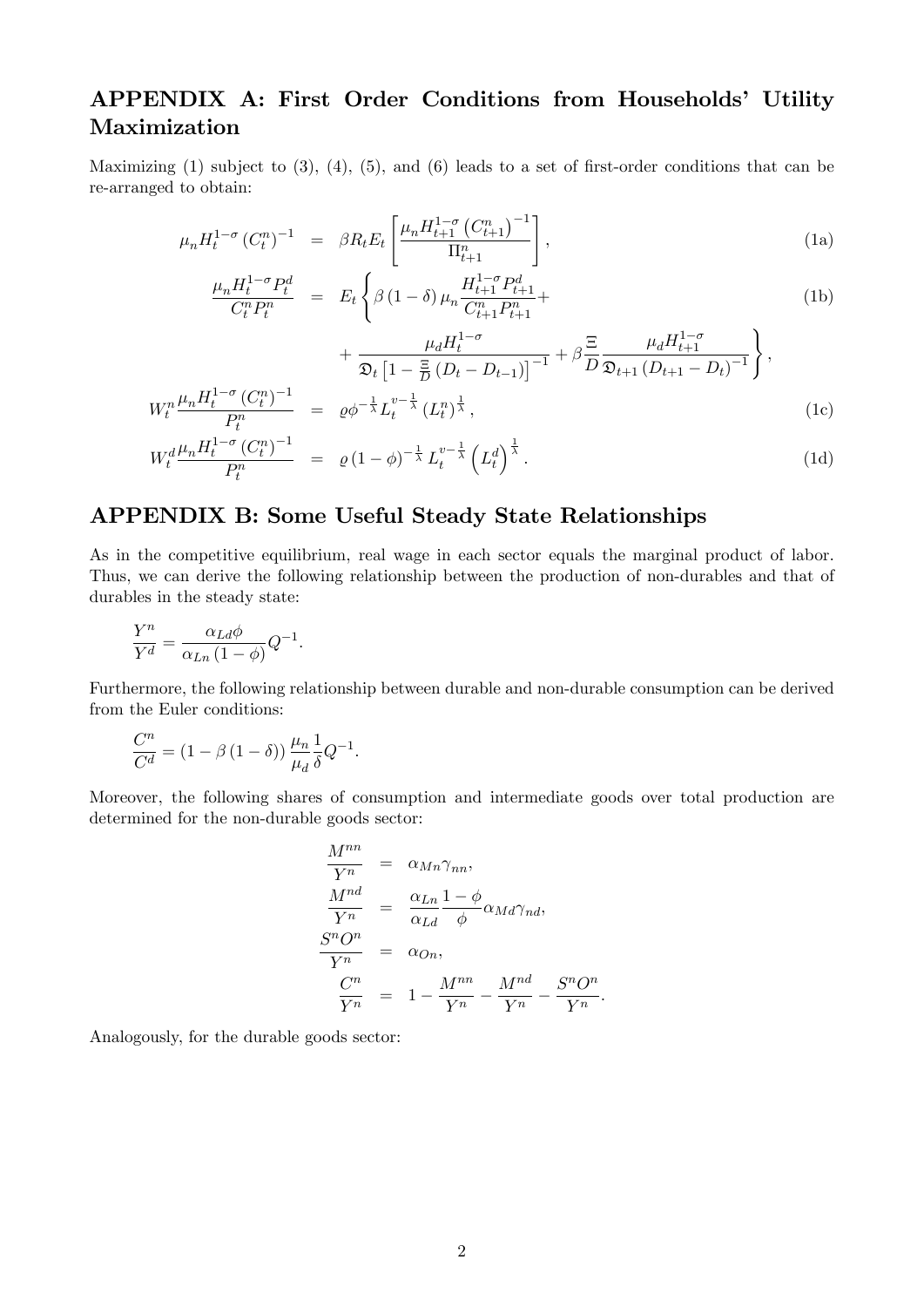### APPENDIX A: First Order Conditions from Households' Utility Maximization

Maximizing (1) subject to  $(3)$ ,  $(4)$ ,  $(5)$ , and  $(6)$  leads to a set of first-order conditions that can be re-arranged to obtain:

<span id="page-1-0"></span>
$$
\mu_n H_t^{1-\sigma} (C_t^n)^{-1} = \beta R_t E_t \left[ \frac{\mu_n H_{t+1}^{1-\sigma} (C_{t+1}^n)^{-1}}{\Pi_{t+1}^n} \right], \tag{1a}
$$

$$
\frac{\mu_n H_t^{1-\sigma} P_t^d}{C_t^n P_t^n} = E_t \left\{ \beta \left(1 - \delta\right) \mu_n \frac{H_{t+1}^{1-\sigma} P_{t+1}^d}{C_{t+1}^n P_{t+1}^n} + \right\}
$$
\n(1b)

$$
+\frac{\mu_d H_t^{1-\sigma}}{\mathfrak{D}_t \left[1-\frac{\Xi}{D}\left(D_t-D_{t-1}\right)\right]^{-1}}+\beta\frac{\Xi}{D}\frac{\mu_d H_{t+1}^{1-\sigma}}{\mathfrak{D}_{t+1}\left(D_{t+1}-D_t\right)^{-1}}\right\},\,
$$

:

$$
W_t^n \frac{\mu_n H_t^{1-\sigma} (C_t^n)^{-1}}{P_t^n} = \varrho \phi^{-\frac{1}{\lambda}} L_t^{v-\frac{1}{\lambda}} (L_t^n)^{\frac{1}{\lambda}}, \tag{1c}
$$

$$
W_t^d \frac{\mu_n H_t^{1-\sigma} (C_t^n)^{-1}}{P_t^n} = \varrho (1-\phi)^{-\frac{1}{\lambda}} L_t^{v-\frac{1}{\lambda}} \left( L_t^d \right)^{\frac{1}{\lambda}}.
$$
 (1d)

#### APPENDIX B: Some Useful Steady State Relationships

As in the competitive equilibrium, real wage in each sector equals the marginal product of labor. Thus, we can derive the following relationship between the production of non-durables and that of durables in the steady state:

$$
\frac{Y^n}{Y^d} = \frac{\alpha_{Ld}\phi}{\alpha_{Ln}(1-\phi)}Q^{-1}.
$$

Furthermore, the following relationship between durable and non-durable consumption can be derived from the Euler conditions:

$$
\frac{C^n}{C^d} = (1 - \beta (1 - \delta)) \frac{\mu_n}{\mu_d} \frac{1}{\delta} Q^{-1}.
$$

Moreover, the following shares of consumption and intermediate goods over total production are determined for the non-durable goods sector:

$$
\frac{M^{nn}}{Y^n} = \alpha_{Mn} \gamma_{nn},
$$
\n
$$
\frac{M^{nd}}{Y^n} = \frac{\alpha_{Ln}}{\alpha_{Ld}} \frac{1 - \phi}{\phi} \alpha_{Md} \gamma_{nd},
$$
\n
$$
\frac{S^n O^n}{Y^n} = \alpha_{On},
$$
\n
$$
\frac{C^n}{Y^n} = 1 - \frac{M^{nn}}{Y^n} - \frac{M^{nd}}{Y^n} - \frac{S^n O^n}{Y^n}
$$

Analogously, for the durable goods sector: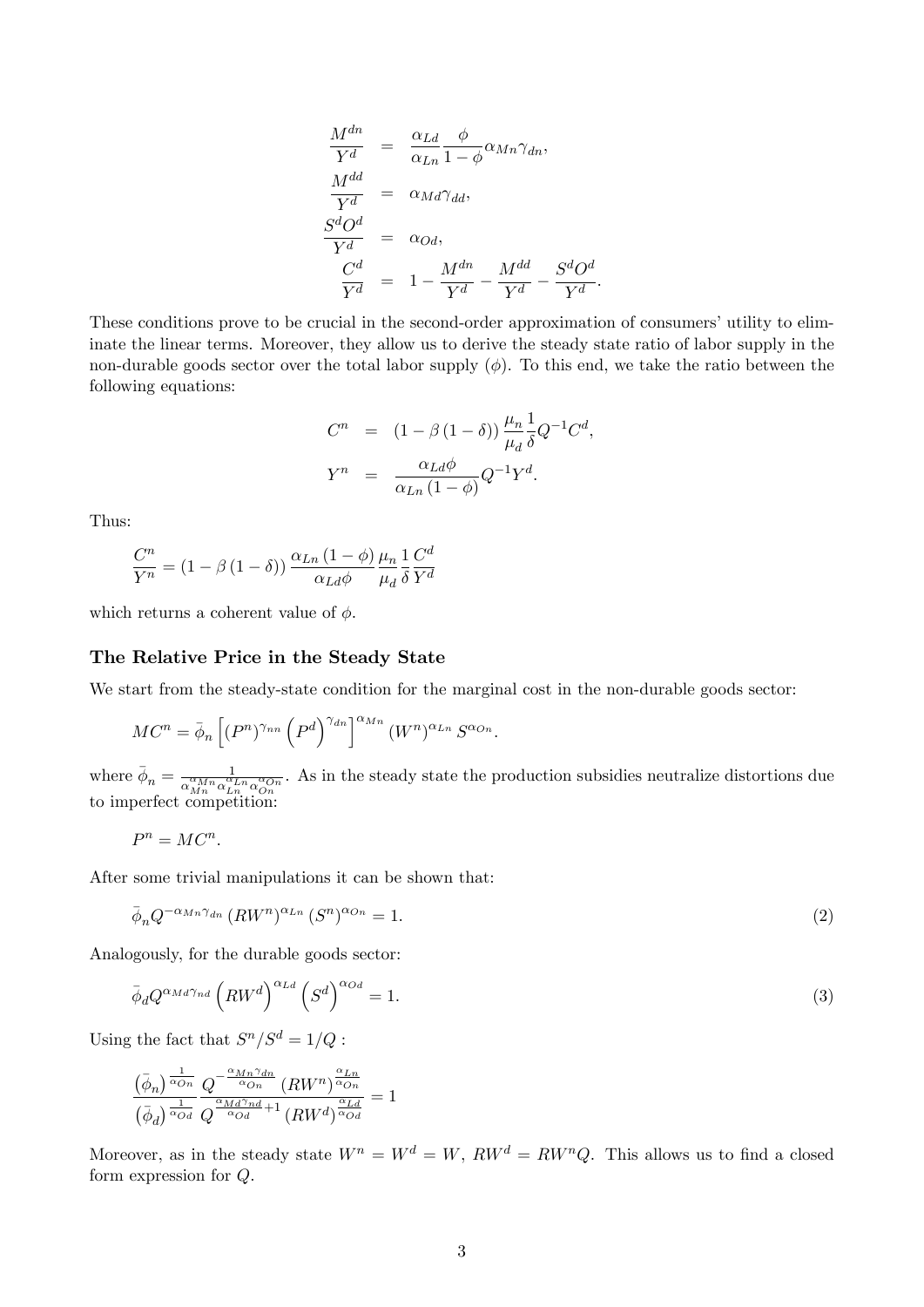$$
\frac{M^{dn}}{Y^d} = \frac{\alpha_{Ld}}{\alpha_{Ln}} \frac{\phi}{1 - \phi} \alpha_{Mn} \gamma_{dn},
$$
\n
$$
\frac{M^{dd}}{Y^d} = \alpha_{Md} \gamma_{dd},
$$
\n
$$
\frac{S^d O^d}{Y^d} = \alpha_{Od},
$$
\n
$$
\frac{C^d}{Y^d} = 1 - \frac{M^{dn}}{Y^d} - \frac{M^{dd}}{Y^d} - \frac{S^d O^d}{Y^d}.
$$

These conditions prove to be crucial in the second-order approximation of consumers' utility to eliminate the linear terms. Moreover, they allow us to derive the steady state ratio of labor supply in the non-durable goods sector over the total labor supply  $(\phi)$ . To this end, we take the ratio between the following equations:

$$
C^{n} = (1 - \beta (1 - \delta)) \frac{\mu_{n}}{\mu_{d}} \frac{1}{\delta} Q^{-1} C^{d},
$$
  

$$
Y^{n} = \frac{\alpha_{Ld}\phi}{\alpha_{Ln} (1 - \phi)} Q^{-1} Y^{d}.
$$

Thus:

$$
\frac{C^n}{Y^n} = (1 - \beta (1 - \delta)) \frac{\alpha_{Ln} (1 - \phi)}{\alpha_{Ld} \phi} \frac{\mu_n}{\mu_d} \frac{1}{\delta} \frac{C^d}{Y^d}
$$

which returns a coherent value of  $\phi$ .

#### The Relative Price in the Steady State

We start from the steady-state condition for the marginal cost in the non-durable goods sector:

$$
MC^{n} = \bar{\phi}_{n} \left[ (P^{n})^{\gamma_{nn}} \left( P^{d} \right)^{\gamma_{dn}} \right]^{\alpha_{Mn}} (W^{n})^{\alpha_{Ln}} S^{\alpha_{On}}.
$$

where  $\bar{\phi}_n = \frac{1}{\alpha_n^{\alpha} M n \alpha_n^{\alpha}}$  $\frac{1}{\alpha_{Mn}^{ \alpha_{Mn}} \alpha_{Ln}^{ \alpha_{Ln}} \alpha_{On}^{ \alpha_{On}}}$ . As in the steady state the production subsidies neutralize distortions due to imperfect competition:

$$
P^n = MC^n.
$$

After some trivial manipulations it can be shown that:

$$
\bar{\phi}_n Q^{-\alpha_{Mn}\gamma_{dn}} \left( RW^n \right)^{\alpha_{Ln}} \left( S^n \right)^{\alpha_{On}} = 1. \tag{2}
$$

Analogously, for the durable goods sector:

$$
\bar{\phi}_d Q^{\alpha_{Md}\gamma_{nd}} \left(RW^d\right)^{\alpha_{Ld}} \left(S^d\right)^{\alpha_{Od}} = 1. \tag{3}
$$

Using the fact that  $S^n/S^d = 1/Q$ :

$$
\frac{\left(\bar{\phi}_n\right)^{\frac{1}{\alpha_{On}}}}{\left(\bar{\phi}_d\right)^{\frac{1}{\alpha_{OA}}}} \frac{Q^{-\frac{\alpha_{Mn}\gamma_{dn}}{\alpha_{On}}}\left(RW^n\right)^{\frac{\alpha_{Ln}}{\alpha_{On}}}}{Q^{\frac{\alpha_{Md}\gamma_{nd}}{\alpha_{Od}}+1}\left(RW^d\right)^{\frac{\alpha_{Ln}}{\alpha_{Od}}}} = 1
$$

Moreover, as in the steady state  $W^n = W^d = W$ ,  $RW^d = R W^n Q$ . This allows us to find a closed form expression for Q.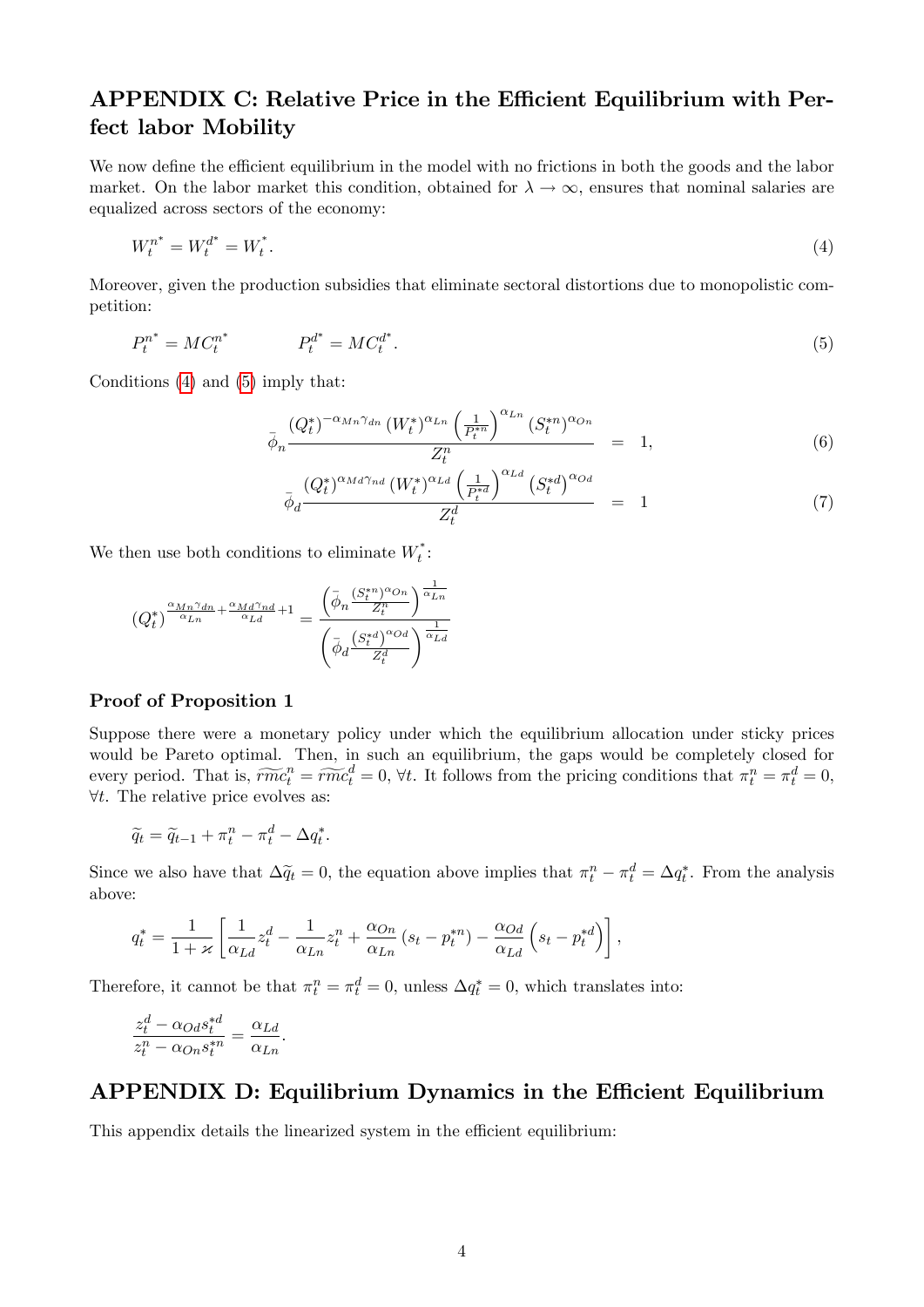### APPENDIX C: Relative Price in the Efficient Equilibrium with Perfect labor Mobility

We now define the efficient equilibrium in the model with no frictions in both the goods and the labor market. On the labor market this condition, obtained for  $\lambda \to \infty$ , ensures that nominal salaries are equalized across sectors of the economy:

$$
W_t^{n^*} = W_t^{d^*} = W_t^*.
$$
\n<sup>(4)</sup>

Moreover, given the production subsidies that eliminate sectoral distortions due to monopolistic competition:

<span id="page-3-1"></span>
$$
P_t^{n^*} = MC_t^{n^*} \qquad P_t^{d^*} = MC_t^{d^*}.
$$
\n(5)

Conditions [\(4\)](#page-3-0) and [\(5\)](#page-3-1) imply that:

<span id="page-3-0"></span>
$$
\bar{\phi}_n \frac{(Q_t^*)^{-\alpha_{Mn}\gamma_{dn}} (W_t^*)^{\alpha_{Ln}} \left(\frac{1}{P_t^{*n}}\right)^{\alpha_{Ln}} (S_t^{*n})^{\alpha_{On}}}{Z_t^n} = 1, \qquad (6)
$$

$$
\bar{\phi}_d \frac{\left(Q_t^*\right)^{\alpha_{Md}\gamma_{nd}} \left(W_t^*\right)^{\alpha_{Ld}} \left(\frac{1}{P_t^{*d}}\right)^{\alpha_{Ld}} \left(S_t^{*d}\right)^{\alpha_{Od}}}{Z_t^d} = 1 \tag{7}
$$

We then use both conditions to eliminate  $W_t^*$ :

$$
(Q_t^*)^{\frac{\alpha_{Mn}\gamma_{dn}}{\alpha_{Ln}}+\frac{\alpha_{Md}\gamma_{nd}}{\alpha_{Ld}}+1} = \frac{\left(\bar{\phi}_n \frac{(S_t^{*n})^{\alpha_{On}}}{Z_t^n}\right)^{\frac{1}{\alpha_{Ln}}}}{\left(\bar{\phi}_d \frac{(S_t^{*d})^{\alpha_{Od}}}{Z_t^d}\right)^{\frac{1}{\alpha_{Ld}}}}
$$

#### Proof of Proposition 1

Suppose there were a monetary policy under which the equilibrium allocation under sticky prices would be Pareto optimal. Then, in such an equilibrium, the gaps would be completely closed for every period. That is,  $\widetilde{rmc}_t^n = \widetilde{rmc}_t^d = 0$ ,  $\forall t$ . It follows from the pricing conditions that  $\pi_t^n = \pi_t^d = 0$ ,  $\forall t$ . The relative price evolves as:

$$
\widetilde{q}_t = \widetilde{q}_{t-1} + \pi_t^n - \pi_t^d - \Delta q_t^*.
$$

Since we also have that  $\Delta \tilde{q}_t = 0$ , the equation above implies that  $\pi_t^n - \pi_t^d = \Delta q_t^*$ . From the analysis above:

$$
q_t^* = \frac{1}{1+\varkappa} \left[ \frac{1}{\alpha_{Ld}} z_t^d - \frac{1}{\alpha_{Ln}} z_t^n + \frac{\alpha_{On}}{\alpha_{Ln}} (s_t - p_t^{*n}) - \frac{\alpha_{Od}}{\alpha_{Ld}} \left( s_t - p_t^{*d} \right) \right],
$$

Therefore, it cannot be that  $\pi_t^n = \pi_t^d = 0$ , unless  $\Delta q_t^* = 0$ , which translates into:

$$
\frac{z_t^d - \alpha_{Od} s_t^{*d}}{z_t^n - \alpha_{On} s_t^{*n}} = \frac{\alpha_{Ld}}{\alpha_{Ln}}.
$$

#### APPENDIX D: Equilibrium Dynamics in the Efficient Equilibrium

This appendix details the linearized system in the efficient equilibrium: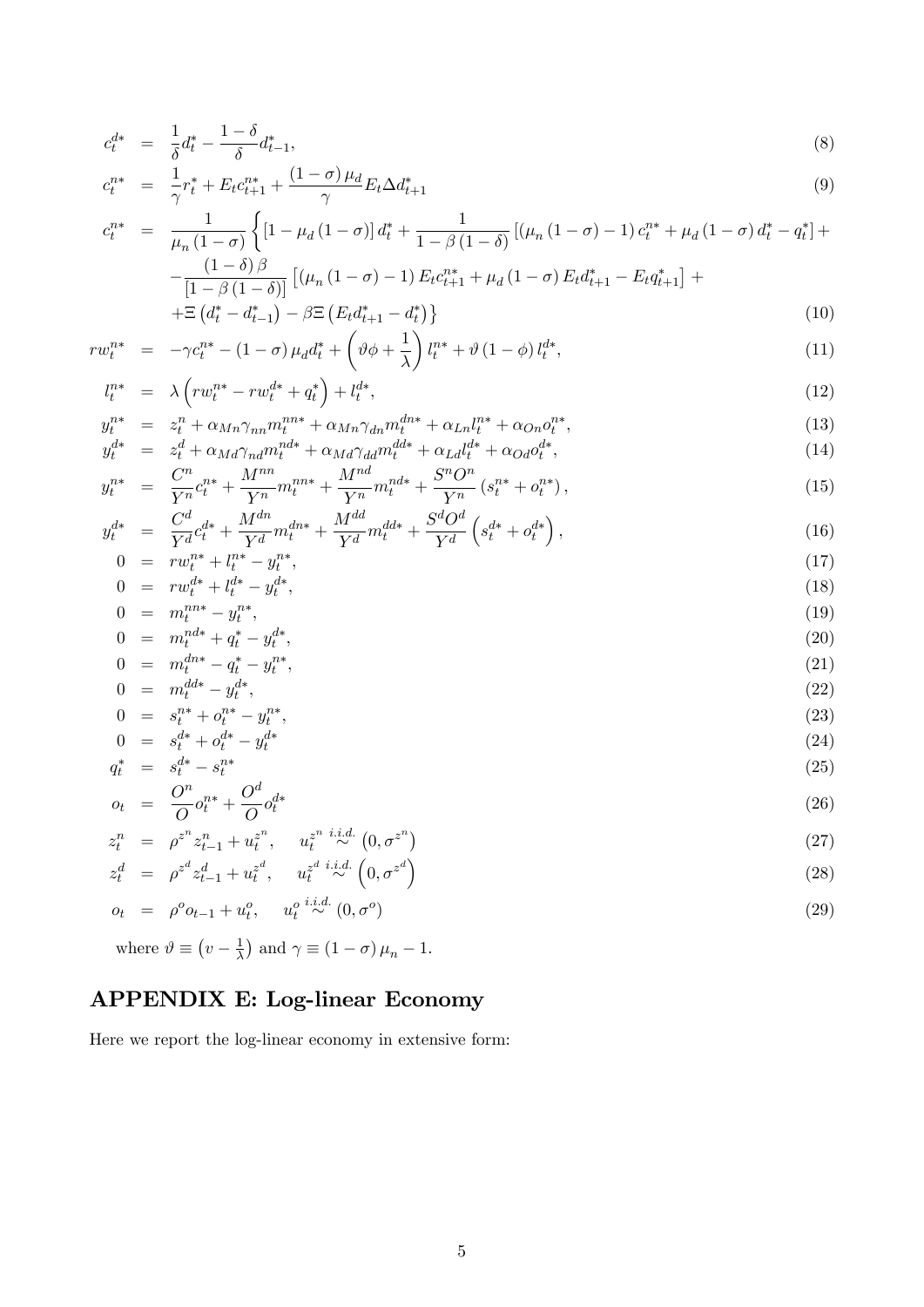$$
c_t^{d*} = \frac{1}{\delta} d_t^* - \frac{1 - \delta}{\delta} d_{t-1}^*,
$$
\n(8)

$$
c_t^{n*} = \frac{1}{\gamma} r_t^* + E_t c_{t+1}^{n*} + \frac{(1-\sigma)\mu_d}{\gamma} E_t \Delta d_{t+1}^* \tag{9}
$$

$$
c_t^{n*} = \frac{1}{\mu_n (1 - \sigma)} \left\{ \left[ 1 - \mu_d (1 - \sigma) \right] d_t^* + \frac{1}{1 - \beta (1 - \delta)} \left[ (\mu_n (1 - \sigma) - 1) c_t^{n*} + \mu_d (1 - \sigma) d_t^* - q_t^* \right] + \frac{(1 - \delta)\beta}{1 - \frac{1}{\mu} \left( \mu_n (1 - \sigma) - 1 \right) E_t c_{t+1}^{n*} + \mu_d (1 - \sigma) E_t d_{t+1}^* - E_t q_{t+1}^* \right\} + \cdots \right\}
$$

$$
-\frac{(1-\theta)\beta}{[1-\beta(1-\delta)]}\left[ (\mu_n(1-\sigma)-1)E_t c_{t+1}^{n*} + \mu_d(1-\sigma)E_t d_{t+1}^* - E_t q_{t+1}^* \right] +
$$
  
 
$$
+\Xi\left(d_t^* - d_{t-1}^*\right) - \beta \Xi\left(E_t d_{t+1}^* - d_t^*\right) \}
$$
 (10)

$$
rw_t^{n*} = -\gamma c_t^{n*} - (1 - \sigma) \mu_d d_t^* + \left(\vartheta \phi + \frac{1}{\lambda}\right) l_t^{n*} + \vartheta (1 - \phi) l_t^{d*},\tag{11}
$$

$$
l_t^{n*} = \lambda \left( r w_t^{n*} - r w_t^{d*} + q_t^* \right) + l_t^{d*}, \tag{12}
$$

$$
y_t^{n*} = z_t^n + \alpha_{Mn} \gamma_{nn} m_t^{nns} + \alpha_{Mn} \gamma_{dn} m_t^{dn*} + \alpha_{Ln} l_t^{n*} + \alpha_{On} o_t^{n*},
$$
  
\n
$$
y_t^{d*} = z_t^d + \alpha_{Md} \gamma_{rd} m_t^{nd*} + \alpha_{Md} \gamma_{rd} m_t^{d} + \alpha_{Ld} l_t^{d*} + \alpha_{Od} o_t^{d*},
$$
\n(13)

$$
y_t^{d*} = z_t^d + \alpha_{Md} \gamma_{nd} m_t^{nd*} + \alpha_{Md} \gamma_{dd} m_t^{dd*} + \alpha_{Ld} l_t^{d*} + \alpha_{Od} o_t^{d*},
$$
  
\n
$$
y_t^{n*} = \frac{C^n}{c_t^{n*}} + \frac{M^{nn}}{m_t^{nn*}} m_t^{n*} + \frac{M^{nd}}{m_t^{nd*}} + \frac{S^n O^n}{s_t^{n*}} (s_t^{n*} + o_t^{n*}).
$$
\n(15)

$$
y_t^{n*} = \frac{C}{Y^n} c_t^{n*} + \frac{M}{Y^n} m_t^{n*} + \frac{M}{Y^n} m_t^{n*} + \frac{S}{Y^n} (s_t^{n*} + o_t^{n*}),
$$
  
\n
$$
c^d = \frac{C^d}{s^d} \left( \frac{ds}{s} + o_t^{n*} + o_t^{n*} \right),
$$
  
\n
$$
y_t^{n*} = \frac{C^d}{s^d} \left( \frac{ds}{s} + o_t^{n*} + o_t^{n*} \right),
$$
  
\n(15)

$$
y_t^{d*} = \frac{C}{Y^d} c_t^{d*} + \frac{M}{Y^d} m_t^{dn*} + \frac{M}{Y^d} m_t^{dd*} + \frac{5}{Y^d} \left( s_t^{d*} + o_t^{d*} \right),
$$
  
\n
$$
0 = rw_t^{n*} + l_t^{n*} - y_t^{n*},
$$
\n(17)

$$
0 = rw_t^{n*} + l_t^{n*} - y_t^{n*},
$$
  
\n
$$
0 = rw_t^{d*} + l_t^{d*} - y_t^{d*},
$$
\n(17)

$$
0 = m_t^{nn*} - y_t^{n*}, \t\t(19)
$$

$$
0 = m_t^{nd*} + q_t^* - y_t^{d*}, \tag{20}
$$

$$
0 = m_t^{dn*} - q_t^* - y_t^{n*},
$$
  
\n
$$
0 = m_t^{dd*} - y_t^{d*},
$$
\n(21)  
\n(22)

$$
0 = m_t - y_t,
$$
  
\n
$$
0 = s_t^{n*} + o_t^{n*} - y_t^{n*},
$$
\n(23)

$$
0 = s_t^{d*} + o_t^{d*} - y_t^{d*} \tag{24}
$$

$$
q_t^* = s_t^{d*} - s_t^{n*} O^n_{n*} O^d_{d*}
$$
 (25)

$$
o_t = \frac{\partial}{\partial} o_t^{n*} + \frac{\partial}{\partial} o_t^{d*} \tag{26}
$$

$$
z_t^n = \rho^{z^n} z_{t-1}^n + u_t^{z^n}, \quad u_t^{z^n} \stackrel{i.i.d.}{\sim} (0, \sigma^{z^n})
$$
  
\n
$$
z_d^n = \sigma^{z_d} z_d^d + u_t^{z_d^d} - u_t^{z_d^d} \stackrel{i.i.d.}{\sim} (0, \sigma^{z_d^d})
$$
\n(28)

$$
z_t^d = \rho^{z^d} z_{t-1}^d + u_t^{z^d}, \quad u_t^{z^d} \stackrel{i.i.d.}{\sim} \left(0, \sigma^{z^d}\right)
$$
\n
$$
z_t^d = \rho^o \omega_{t-1} + u^o, \quad u_t^{o} \stackrel{i.i.d.}{\sim} \left(0, \sigma^{o}\right)
$$
\n
$$
(28)
$$

$$
o_t = \rho^o o_{t-1} + u_t^o, \quad u_t^o \stackrel{i.i.d.}{\sim} (0, \sigma^o) \tag{29}
$$

where 
$$
\vartheta \equiv (v - \frac{1}{\lambda})
$$
 and  $\gamma \equiv (1 - \sigma) \mu_n - 1$ .

## APPENDIX E: Log-linear Economy

Here we report the log-linear economy in extensive form: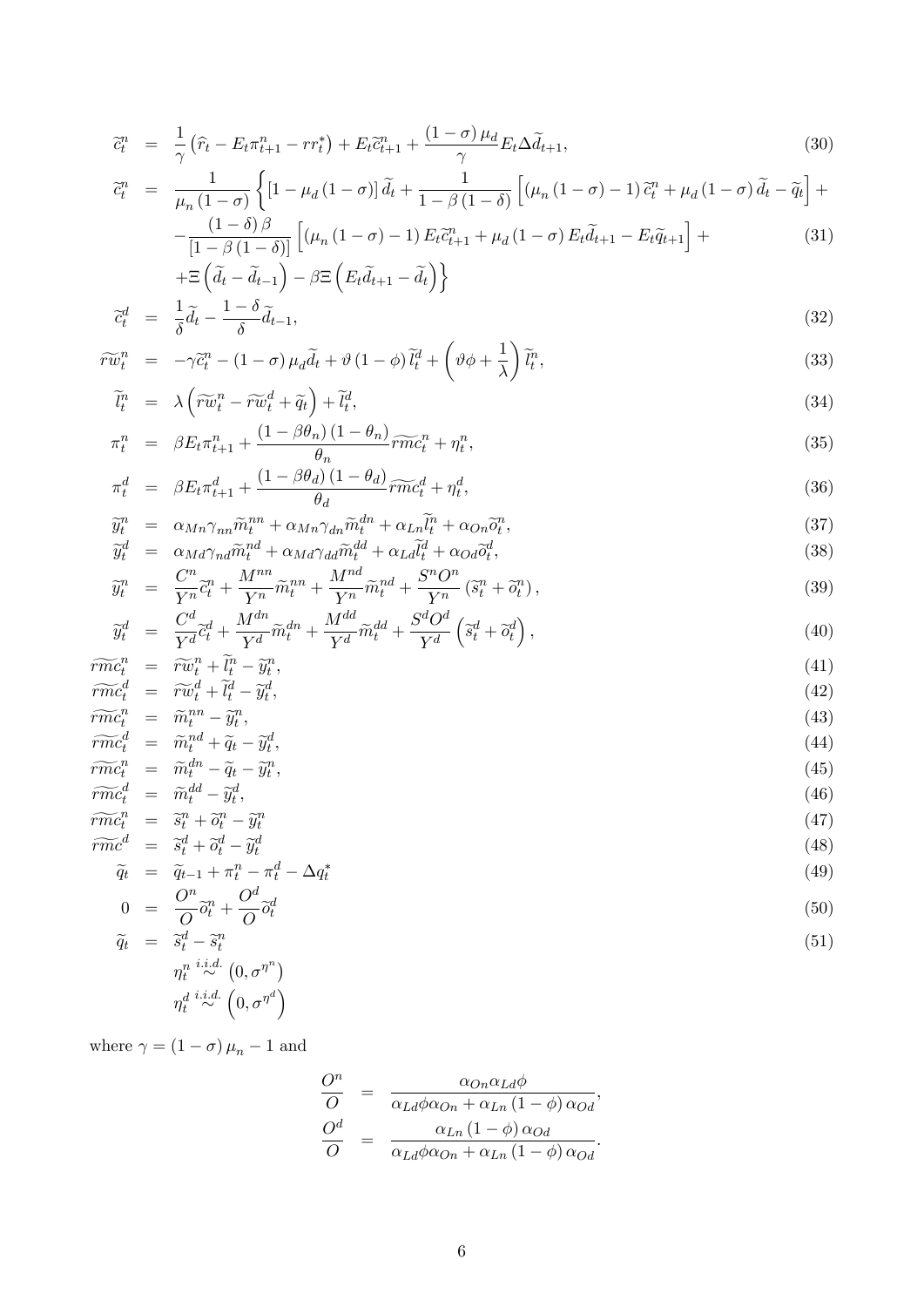$$
\tilde{c}_t^n = \frac{1}{\gamma} \left( \hat{r}_t - E_t \pi_{t+1}^n - r r_t^* \right) + E_t \tilde{c}_{t+1}^n + \frac{(1-\sigma)\mu_d}{\gamma} E_t \Delta \tilde{d}_{t+1},\tag{30}
$$

$$
\tilde{c}_t^n = \frac{1}{\mu_n (1 - \sigma)} \left\{ \left[ 1 - \mu_d (1 - \sigma) \right] \tilde{d}_t + \frac{1}{1 - \beta (1 - \delta)} \left[ \left( \mu_n (1 - \sigma) - 1 \right) \tilde{c}_t^n + \mu_d (1 - \sigma) \tilde{d}_t - \tilde{q}_t \right] + \right. \\ \left. - \frac{(1 - \delta)\beta}{\left[ 1 - \beta (1 - \delta) \right]} \left[ \left( \mu_n (1 - \sigma) - 1 \right) E_t \tilde{c}_{t+1}^n + \mu_d (1 - \sigma) E_t \tilde{d}_{t+1} - E_t \tilde{q}_{t+1} \right] + \right\} \tag{31}
$$

$$
[1 - \beta (1 - \delta)] \mathbf{1}^{\text{max}}+ \Xi \left( \widetilde{d}_t - \widetilde{d}_{t-1} \right) - \beta \Xi \left( E_t \widetilde{d}_{t+1} - \widetilde{d}_t \right) \}
$$
  
= 
$$
\frac{1}{2} \widetilde{d}_t - \frac{1 - \delta}{2} \widetilde{d}_{t-1}
$$
 (32)

$$
\widetilde{c}_t^d = \frac{1}{\delta} \widetilde{d}_t - \frac{1 - \sigma}{\delta} \widetilde{d}_{t-1},\tag{32}
$$

$$
\widetilde{rw}_t^n = -\gamma \widetilde{c}_t^n - (1 - \sigma) \mu_d \widetilde{d}_t + \vartheta (1 - \phi) \widetilde{l}_t^d + \left(\vartheta \phi + \frac{1}{\lambda}\right) \widetilde{l}_t^n,
$$
\n(33)

$$
\widetilde{l}_t^n = \lambda \left( \widetilde{rw}_t^n - \widetilde{rw}_t^d + \widetilde{q}_t \right) + \widetilde{l}_t^d,\tag{34}
$$
\n
$$
(1 - \beta \theta_0)(1 - \theta_0)
$$

$$
\pi_t^n = \beta E_t \pi_{t+1}^n + \frac{(1 - \beta \theta_n)(1 - \theta_n)}{\theta_n} \widetilde{rmc}_t^n + \eta_t^n,
$$
\n(35)

$$
\pi_t^d = \beta E_t \pi_{t+1}^d + \frac{(1 - \beta \theta_d)(1 - \theta_d)}{\theta_d} \widetilde{r m c}_t^d + \eta_t^d, \tag{36}
$$

$$
\widetilde{y}_t^n = \alpha_{Mn} \gamma_{nn} \widetilde{m}_t^{nn} + \alpha_{Mn} \gamma_{dn} \widetilde{m}_t^{dn} + \alpha_{Ln} \widetilde{l}_t^n + \alpha_{On} \widetilde{o}_t^n,\tag{37}
$$
\n
$$
\widetilde{y}_t^d = \alpha_{Mn} \gamma_{nn} \widetilde{y}_t^{nd} + \alpha_{Mn} \widetilde{y}_t^{dd} + \alpha_{On} \widetilde{y}_t^d + \alpha_{On} \widetilde{o}_t^n,\tag{38}
$$

$$
\widetilde{y}_t^d = \alpha_{Md} \gamma_{nd} \widetilde{m}_t^{nd} + \alpha_{Md} \gamma_{dd} \widetilde{m}_t^{dd} + \alpha_{Ld} l_t^d + \alpha_{Od} \widetilde{o}_t^d,\n\n\widetilde{C}^n \gamma_{n} + M^{nn} \gamma_{mn} + M^{nd} \gamma_{nd} + S^n O^n \gamma_{mn} + \widetilde{C}^n \gamma_{mn} \tag{38}
$$

$$
\widetilde{y}_t^n = \frac{C^n}{Y^n} \widetilde{c}_t^n + \frac{M^{nn}}{Y^n} \widetilde{m}_t^{nn} + \frac{M^{nd}}{Y^n} \widetilde{m}_t^{nd} + \frac{S^n O^n}{Y^n} \left( \widetilde{s}_t^n + \widetilde{o}_t^n \right),\tag{39}
$$

$$
\widetilde{y}_t^d = \frac{C^d}{Y^d} \widetilde{c}_t^d + \frac{M^{dn}}{Y^d} \widetilde{m}_t^{dn} + \frac{M^{dd}}{Y^d} \widetilde{m}_t^{dd} + \frac{S^d O^d}{Y^d} \left( \widetilde{s}_t^d + \widetilde{o}_t^d \right),\tag{40}
$$

$$
\widetilde{rmc}_{t}^{n} = \widetilde{rw}_{t}^{n} + \widetilde{l}_{t}^{n} - \widetilde{y}_{t}^{n},\tag{41}
$$
\n
$$
\widetilde{w}_{t}^{d} = \widetilde{w}_{t}^{d} + \widetilde{l}_{t}^{d} - \widetilde{z}_{t}^{d}
$$
\n
$$
(42)
$$

$$
\widetilde{rmc}_{t}^{d} = \widetilde{rw}_{t}^{d} + \widetilde{l}_{t}^{d} - \widetilde{y}_{t}^{d},
$$
\n
$$
\widetilde{rmc}_{t}^{n} = \widetilde{m}_{t}^{nn} - \widetilde{y}_{t}^{n},
$$
\n(42)

$$
\widetilde{rmc}_{t}^{d} = \widetilde{m}_{t}^{nd} + \widetilde{q}_{t} - \widetilde{y}_{t}^{d},\tag{44}
$$
\n
$$
\widetilde{rmc}_{t}^{n} = \widetilde{m}_{t}^{dn} \widetilde{q}_{t} - \widetilde{y}_{t}^{dn} \tag{45}
$$

$$
\widetilde{rmc}_{t}^{n} = \widetilde{m}_{t}^{dn} - \widetilde{q}_{t} - \widetilde{y}_{t}^{n},
$$
\n
$$
\widetilde{rmc}_{t}^{d} = \widetilde{m}_{t}^{dd} - \widetilde{y}_{t}^{d},
$$
\n(46)

$$
\widetilde{rmc}_{t}^{n} = \widetilde{s}_{t}^{n} + \widetilde{o}_{t}^{n} - \widetilde{y}_{t}^{n}
$$
\n
$$
\widetilde{rmc}^{d} = \widetilde{s}_{t}^{d} + \widetilde{o}_{t}^{d} - \widetilde{y}_{t}^{d}
$$
\n(48)

$$
\widetilde{q}_t = \widetilde{q}_{t-1} + \pi_t^n - \pi_t^d - \Delta q_t^* \tag{49}
$$
\n
$$
O^n \sim_{n} O^d \sim_d \tag{50}
$$

$$
0 = \frac{\partial}{\partial} \tilde{o}_t^n + \frac{\partial}{\partial} \tilde{o}_t^d
$$
  
\n
$$
\tilde{q}_t = \tilde{s}_t^d - \tilde{s}_t^n
$$
\n(50)  
\n(51)

$$
\widetilde{q}_t = \widetilde{s}_t^d - \widetilde{s}_t^n
$$
\n
$$
\eta_t^n \overset{i.i.d.}{\sim} (0, \sigma^{\eta^n})
$$
\n
$$
\eta_t^{d} \overset{i.i.d.}{\sim} (0, \sigma^{\eta^d})
$$
\n
$$
(51)
$$

where  $\gamma = \left(1-\sigma\right)\mu_n - 1$  and

$$
\frac{O^n}{O} = \frac{\alpha_{On}\alpha_{Ld}\phi}{\alpha_{Ld}\phi\alpha_{On} + \alpha_{Ln}(1-\phi)\alpha_{Od}},
$$

$$
\frac{O^d}{O} = \frac{\alpha_{Ln}(1-\phi)\alpha_{Od}}{\alpha_{Ld}\phi\alpha_{On} + \alpha_{Ln}(1-\phi)\alpha_{Od}}.
$$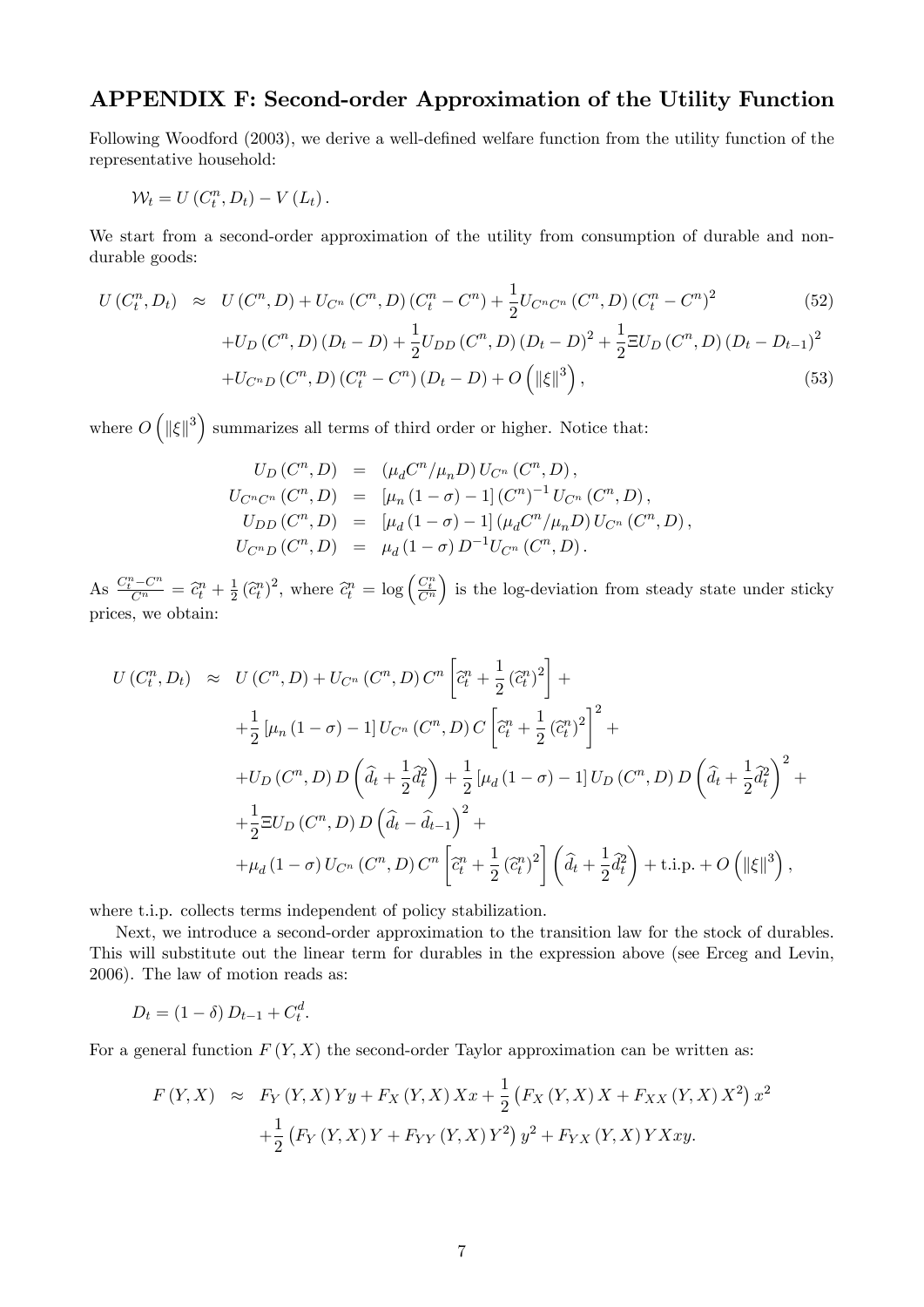#### APPENDIX F: Second-order Approximation of the Utility Function

Following Woodford (2003), we derive a well-defined welfare function from the utility function of the representative household:

$$
\mathcal{W}_t = U(C_t^n, D_t) - V(L_t).
$$

We start from a second-order approximation of the utility from consumption of durable and nondurable goods:

$$
U(C_t^n, D_t) \approx U(C^n, D) + U_{C^n}(C^n, D)(C_t^n - C^n) + \frac{1}{2}U_{C^n C^n}(C^n, D)(C_t^n - C^n)^2
$$
\n
$$
U_{C^n}(C^n, D)(D, D) + \frac{1}{2}U_{C^n}C^n(D)(D, D)^2 + \frac{1}{2}U_{C^n}C^n(D)(D, D)^2 + \frac{1}{2}U_{C^n}C^n(D)(D, D)^2
$$
\n
$$
(52)
$$

+
$$
U_D(C^n, D)(D_t - D) + \frac{1}{2}U_{DD}(C^n, D)(D_t - D)^2 + \frac{1}{2}\Xi U_D(C^n, D)(D_t - D_{t-1})^2
$$
  
+ $U_{C^nD}(C^n, D)(C^n_t - C^n)(D_t - D) + O(|\mathbf{K}||^3)$ , (53)

where  $O\left(\|\xi\|^3\right)$  summarizes all terms of third order or higher. Notice that:

$$
U_D(C^n, D) = (\mu_d C^n / \mu_n D) U_{C^n} (C^n, D),
$$
  
\n
$$
U_{C^n C^n} (C^n, D) = [\mu_n (1 - \sigma) - 1] (C^n)^{-1} U_{C^n} (C^n, D),
$$
  
\n
$$
U_{DD}(C^n, D) = [\mu_d (1 - \sigma) - 1] (\mu_d C^n / \mu_n D) U_{C^n} (C^n, D),
$$
  
\n
$$
U_{C^n D} (C^n, D) = \mu_d (1 - \sigma) D^{-1} U_{C^n} (C^n, D).
$$

As  $\frac{C_t^n - C^n}{C^n} = \hat{c}_t^n + \frac{1}{2}$  $\frac{1}{2}(\widehat{c}_t^n)^2$ , where  $\widehat{c}_t^n = \log\left(\frac{C_t^n}{C^n}\right)$ ) is the log-deviation from steady state under sticky prices, we obtain:

$$
U(C_t^n, D_t) \approx U(C^n, D) + U_{C^n}(C^n, D) C^n \left[\tilde{c}_t^n + \frac{1}{2} (\tilde{c}_t^n)^2\right] +
$$
  
+  $\frac{1}{2} \left[\mu_n (1 - \sigma) - 1\right] U_{C^n}(C^n, D) C \left[\tilde{c}_t^n + \frac{1}{2} (\tilde{c}_t^n)^2\right]^2 +$   
+  $U_D(C^n, D) D \left(\hat{d}_t + \frac{1}{2} \tilde{d}_t^2\right) + \frac{1}{2} \left[\mu_d (1 - \sigma) - 1\right] U_D(C^n, D) D \left(\hat{d}_t + \frac{1}{2} \tilde{d}_t^2\right)^2 +$   
+  $\frac{1}{2} \Xi U_D(C^n, D) D \left(\hat{d}_t - \hat{d}_{t-1}\right)^2 +$   
+  $\mu_d (1 - \sigma) U_{C^n}(C^n, D) C^n \left[\tilde{c}_t^n + \frac{1}{2} (\tilde{c}_t^n)^2\right] \left(\hat{d}_t + \frac{1}{2} \tilde{d}_t^2\right) + \text{t.i.p.} + O\left(\|\xi\|^3\right),$ 

where t.i.p. collects terms independent of policy stabilization.

Next, we introduce a second-order approximation to the transition law for the stock of durables. This will substitute out the linear term for durables in the expression above (see Erceg and Levin, 2006). The law of motion reads as:

$$
D_t = (1 - \delta) D_{t-1} + C_t^d.
$$

For a general function  $F(Y, X)$  the second-order Taylor approximation can be written as:

$$
F(Y, X) \approx F_Y(Y, X)Yy + F_X(Y, X)Xx + \frac{1}{2}(F_X(Y, X)X + F_{XX}(Y, X)X^2)x^2
$$
  
+ 
$$
\frac{1}{2}(F_Y(Y, X)Y + F_{YY}(Y, X)Y^2)y^2 + F_{YX}(Y, X)YXxy.
$$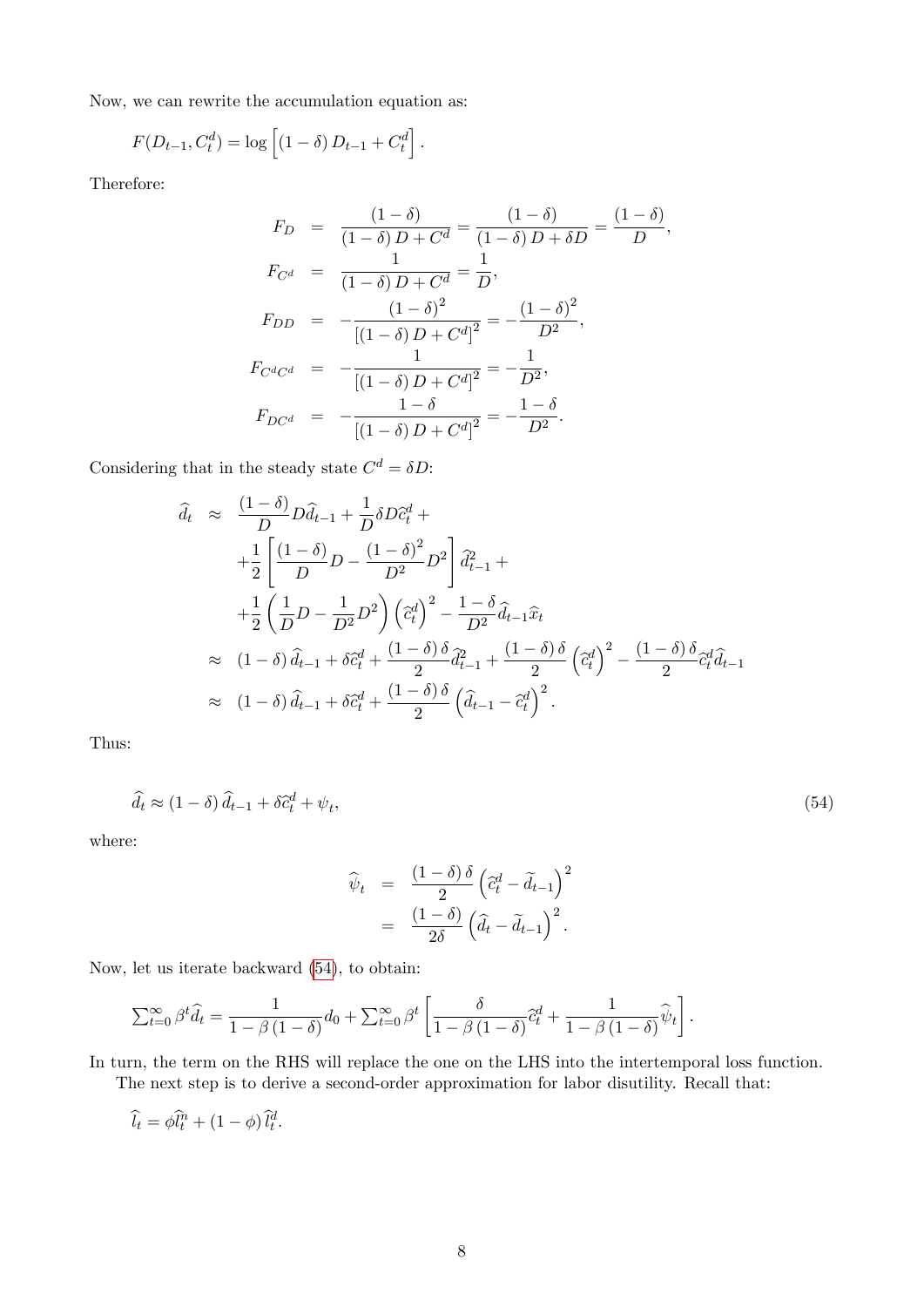Now, we can rewrite the accumulation equation as:

$$
F(D_{t-1}, C_t^d) = \log \left[ (1 - \delta) D_{t-1} + C_t^d \right].
$$

Therefore:

$$
F_D = \frac{(1-\delta)}{(1-\delta)D + C^d} = \frac{(1-\delta)}{(1-\delta)D + \delta D} = \frac{(1-\delta)}{D},
$$
  
\n
$$
F_{C^d} = \frac{1}{(1-\delta)D + C^d} = \frac{1}{D},
$$
  
\n
$$
F_{DD} = -\frac{(1-\delta)^2}{[(1-\delta)D + C^d]^2} = -\frac{(1-\delta)^2}{D^2},
$$
  
\n
$$
F_{C^d C^d} = -\frac{1}{[(1-\delta)D + C^d]^2} = -\frac{1}{D^2},
$$
  
\n
$$
F_{DC^d} = -\frac{1-\delta}{[(1-\delta)D + C^d]^2} = -\frac{1-\delta}{D^2}.
$$

Considering that in the steady state  $C^d = \delta D$ :

$$
\hat{d}_t \approx \frac{(1-\delta)}{D} D \hat{d}_{t-1} + \frac{1}{D} \delta D \hat{c}_t^d +
$$
\n
$$
+ \frac{1}{2} \left[ \frac{(1-\delta)}{D} D - \frac{(1-\delta)^2}{D^2} D^2 \right] \hat{d}_{t-1}^2 +
$$
\n
$$
+ \frac{1}{2} \left( \frac{1}{D} D - \frac{1}{D^2} D^2 \right) \left( \hat{c}_t^d \right)^2 - \frac{1-\delta}{D^2} \hat{d}_{t-1} \hat{x}_t
$$
\n
$$
\approx (1-\delta) \hat{d}_{t-1} + \delta \hat{c}_t^d + \frac{(1-\delta)\delta}{2} \hat{d}_{t-1}^2 + \frac{(1-\delta)\delta}{2} \left( \hat{c}_t^d \right)^2 - \frac{(1-\delta)\delta}{2} \hat{c}_t^d \hat{d}_{t-1}
$$
\n
$$
\approx (1-\delta) \hat{d}_{t-1} + \delta \hat{c}_t^d + \frac{(1-\delta)\delta}{2} \left( \hat{d}_{t-1} - \hat{c}_t^d \right)^2.
$$

<span id="page-7-0"></span>Thus:

$$
\hat{d}_t \approx (1 - \delta) \,\hat{d}_{t-1} + \delta \hat{c}_t^d + \psi_t,\tag{54}
$$

where:

$$
\widehat{\psi}_t = \frac{(1-\delta)\,\delta}{2} \left(\widehat{c}_t^d - \widetilde{d}_{t-1}\right)^2
$$

$$
= \frac{(1-\delta)}{2\delta} \left(\widehat{d}_t - \widetilde{d}_{t-1}\right)^2.
$$

Now, let us iterate backward [\(54\)](#page-7-0), to obtain:

$$
\sum_{t=0}^{\infty} \beta^t \widehat{d}_t = \frac{1}{1 - \beta (1 - \delta)} d_0 + \sum_{t=0}^{\infty} \beta^t \left[ \frac{\delta}{1 - \beta (1 - \delta)} \widehat{c}_t^d + \frac{1}{1 - \beta (1 - \delta)} \widehat{\psi}_t \right].
$$

In turn, the term on the RHS will replace the one on the LHS into the intertemporal loss function. The next step is to derive a second-order approximation for labor disutility. Recall that:

$$
\widehat{l_t} = \phi \widehat{l_t^n} + (1 - \phi) \widehat{l_t^d}.
$$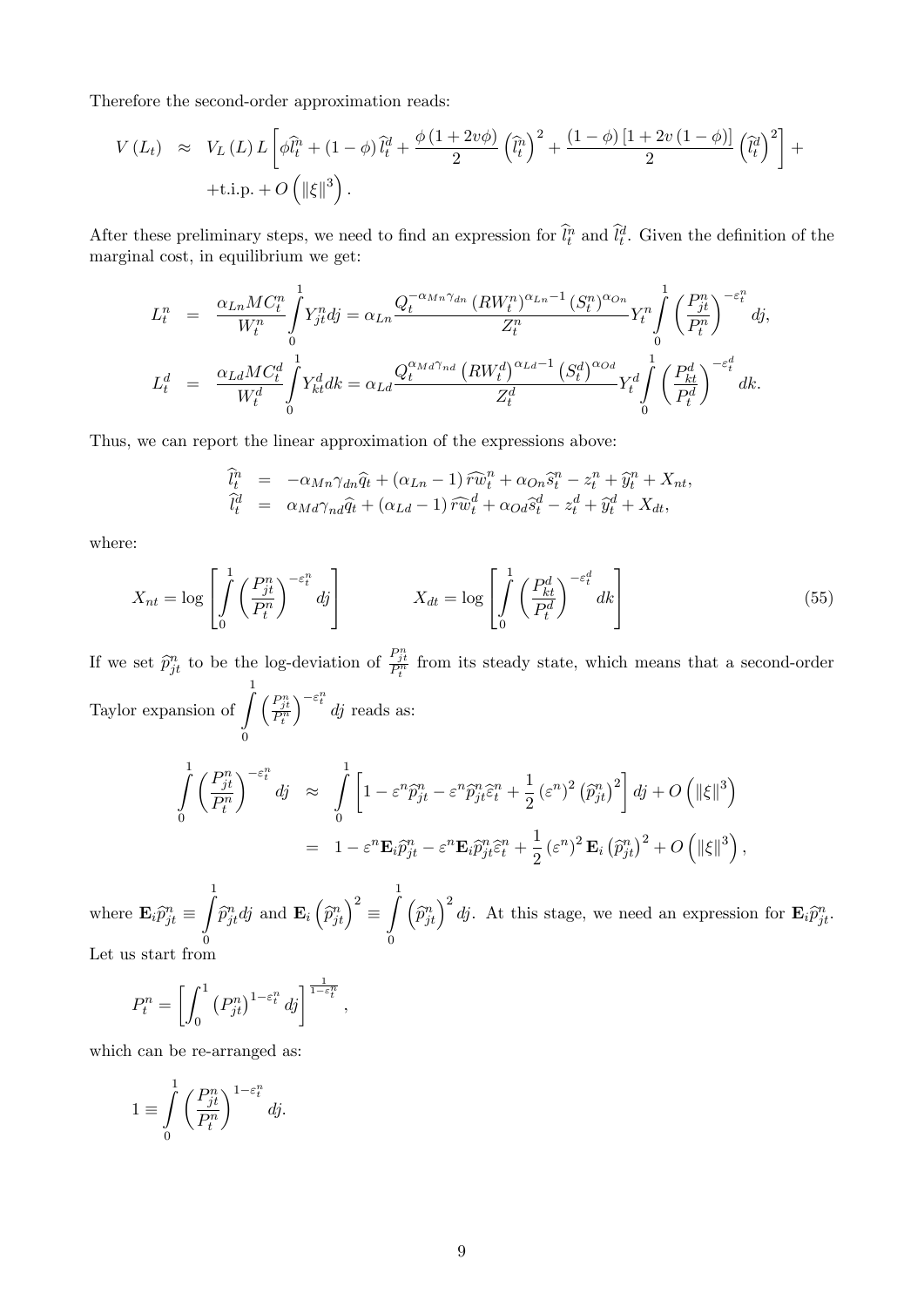Therefore the second-order approximation reads:

$$
V(L_t) \approx V_L(L) L \left[ \phi \hat{l}_t^n + (1 - \phi) \hat{l}_t^d + \frac{\phi (1 + 2v\phi)}{2} \left( \hat{l}_t^n \right)^2 + \frac{(1 - \phi) [1 + 2v (1 - \phi)]}{2} \left( \hat{l}_t^d \right)^2 \right] + \text{t.i.p.} + O\left( \|\xi\|^3 \right).
$$

After these preliminary steps, we need to find an expression for  $\hat{l}_t^n$  and  $\hat{l}_t^d$ . Given the definition of the marginal cost, in equilibrium we get:

$$
L_t^n = \frac{\alpha_{Ln}MC_t^n}{W_t^n} \int_0^1 Y_{jt}^n dj = \alpha_{Ln} \frac{Q_t^{-\alpha_{Mn}\gamma_{dn}} (RW_t^n)^{\alpha_{Ln}-1} (S_t^n)^{\alpha_{On}}}{Z_t^n} Y_t^n \int_0^1 \left(\frac{P_{jt}^n}{P_t^n}\right)^{-\varepsilon_t^n} dj,
$$
  

$$
L_t^d = \frac{\alpha_{Ld}MC_t^d}{W_t^d} \int_0^1 Y_{kt}^d dk = \alpha_{Ld} \frac{Q_t^{\alpha_{Md}\gamma_{nd}} (RW_t^d)^{\alpha_{Ld}-1} (S_t^d)^{\alpha_{Od}}}{Z_t^d} Y_t^d \int_0^1 \left(\frac{P_{kt}^d}{P_t^d}\right)^{-\varepsilon_t^d} dk.
$$

Thus, we can report the linear approximation of the expressions above:

$$
\begin{array}{rcl}\n\hat{l}_t^n &=& -\alpha_{Mn}\gamma_{dn}\hat{q}_t + (\alpha_{Ln} - 1)\widehat{rw}_t^n + \alpha_{On}\hat{s}_t^n - z_t^n + \widehat{y}_t^n + X_{nt}, \\
\hat{l}_t^d &=& \alpha_{Md}\gamma_{nd}\hat{q}_t + (\alpha_{Ld} - 1)\widehat{rw}_t^d + \alpha_{Od}\hat{s}_t^d - z_t^d + \widehat{y}_t^d + X_{dt},\n\end{array}
$$

where:

$$
X_{nt} = \log \left[ \int_{0}^{1} \left( \frac{P_{jt}^{n}}{P_{t}^{n}} \right)^{-\varepsilon_{t}^{n}} dy \right] \qquad X_{dt} = \log \left[ \int_{0}^{1} \left( \frac{P_{kt}^{d}}{P_{t}^{d}} \right)^{-\varepsilon_{t}^{d}} dk \right]
$$
(55)

If we set  $\hat{p}_{jt}^n$  to be the log-deviation of  $\frac{P_{jt}^n}{P_t^n}$  from its steady state, which means that a second-order Taylor expansion of  $\int_0^1$  $\boldsymbol{0}$  $\biggl( \frac{P_{jt}^n}{P_t^n}$  $\int_{0}^{-\varepsilon_{t}^{n}} dj$  reads as:

$$
\int_{0}^{1} \left(\frac{P_{jt}^{n}}{P_{t}^{n}}\right)^{-\varepsilon_{t}^{n}} d\mathbf{j} \approx \int_{0}^{1} \left[1 - \varepsilon^{n} \hat{p}_{jt}^{n} - \varepsilon^{n} \hat{p}_{jt}^{n} \hat{\varepsilon}_{t}^{n} + \frac{1}{2} \left(\varepsilon^{n}\right)^{2} \left(\hat{p}_{jt}^{n}\right)^{2}\right] d\mathbf{j} + O\left(\|\xi\|^{3}\right)
$$

$$
= 1 - \varepsilon^{n} \mathbf{E}_{i} \hat{p}_{jt}^{n} - \varepsilon^{n} \mathbf{E}_{i} \hat{p}_{jt}^{n} \hat{\varepsilon}_{t}^{n} + \frac{1}{2} \left(\varepsilon^{n}\right)^{2} \mathbf{E}_{i} \left(\hat{p}_{jt}^{n}\right)^{2} + O\left(\|\xi\|^{3}\right),
$$

where  $\mathbf{E}_{i}\hat{p}_{jt}^{n}$   $\equiv$  $\frac{1}{\sqrt{2}}$ 0  $\widehat{p}_{jt}^n dj$  and  $\mathbf{E}_i \left( \widehat{p}_{jt}^n \right)^2 \equiv$  $\frac{1}{\sqrt{2}}$ 0  $\left(\widehat{p}_{jt}^n\right)^2 dj$ . At this stage, we need an expression for  $\mathbf{E}_i \widehat{p}_{jt}^n$ . Let us start from

$$
P_t^n = \left[ \int_0^1 \left( P_{jt}^n \right)^{1 - \varepsilon_t^n} d_j \right]^{\frac{1}{1 - \varepsilon_t^n}}
$$

;

which can be re-arranged as:

$$
1 \equiv \int_{0}^{1} \left(\frac{P_{jt}^{n}}{P_t^{n}}\right)^{1-\varepsilon_t^{n}} dj.
$$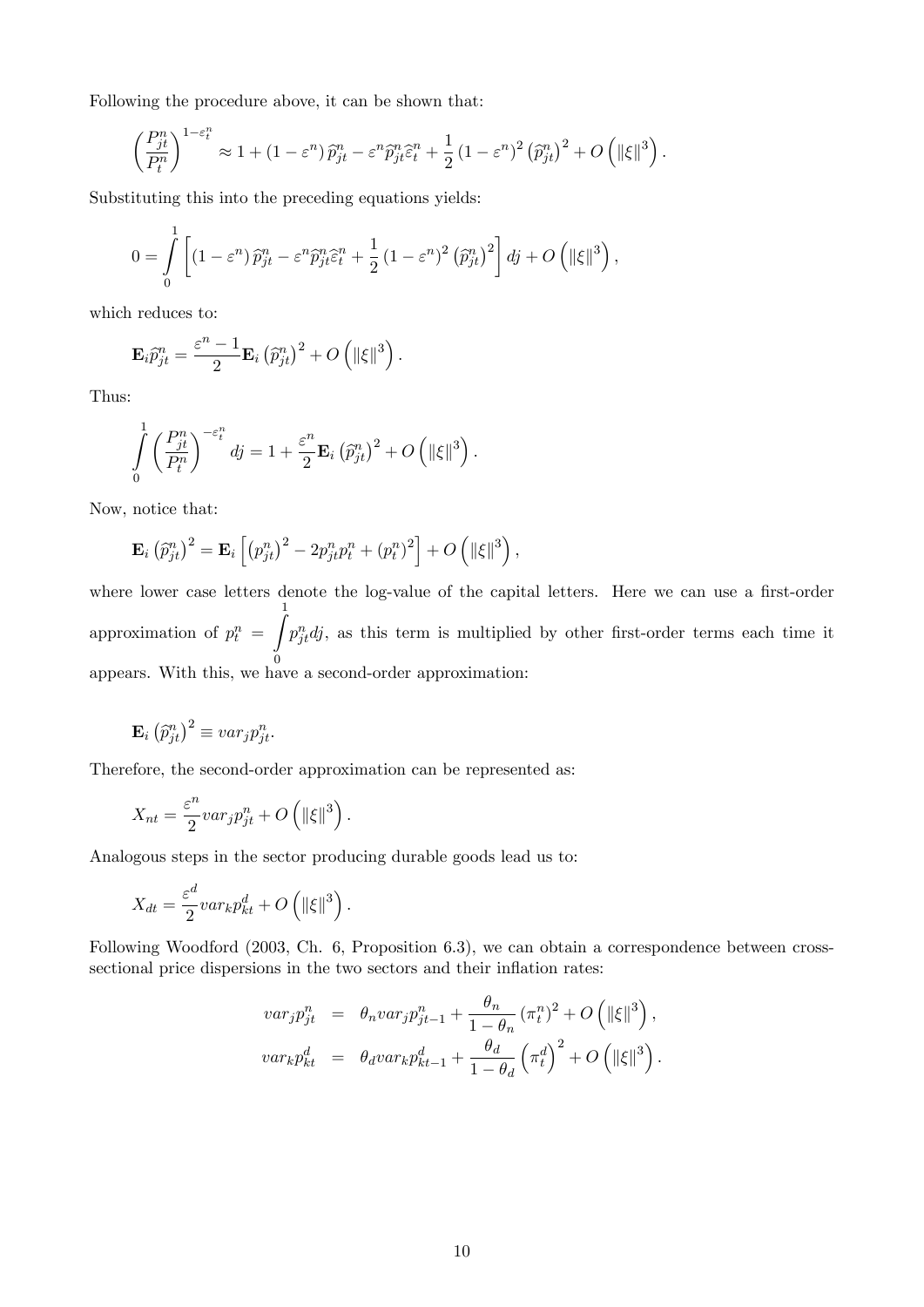Following the procedure above, it can be shown that:

$$
\left(\frac{P_{jt}^n}{P_t^n}\right)^{1-\varepsilon_t^n} \approx 1 + \left(1-\varepsilon^n\right)\widehat{p}_{jt}^n - \varepsilon^n \widehat{p}_{jt}^n \widehat{\varepsilon}_t^n + \frac{1}{2} \left(1-\varepsilon^n\right)^2 \left(\widehat{p}_{jt}^n\right)^2 + O\left(\|\xi\|^3\right).
$$

Substituting this into the preceding equations yields:

$$
0 = \int_{0}^{1} \left[ \left(1 - \varepsilon^{n}\right) \widehat{p}_{jt}^{n} - \varepsilon^{n} \widehat{p}_{jt}^{n} \widehat{\varepsilon}_{t}^{n} + \frac{1}{2} \left(1 - \varepsilon^{n}\right)^{2} \left(\widehat{p}_{jt}^{n}\right)^{2} \right] dj + O\left(\|\xi\|^{3}\right),
$$

which reduces to:

$$
\mathbf{E}_{i}\widehat{p}_{jt}^{n} = \frac{\varepsilon^{n}-1}{2}\mathbf{E}_{i}(\widehat{p}_{jt}^{n})^{2} + O\left(\left\|\xi\right\|^{3}\right).
$$

Thus:

$$
\int_{0}^{1} \left(\frac{P_{jt}^{n}}{P_t^{n}}\right)^{-\varepsilon_t^n} dj = 1 + \frac{\varepsilon^n}{2} \mathbf{E}_i \left(\widehat{p}_{jt}^{n}\right)^2 + O\left(\|\xi\|^3\right).
$$

Now, notice that:

$$
\mathbf{E}_{i}(\widehat{p}_{jt}^{n})^{2} = \mathbf{E}_{i}[(p_{jt}^{n})^{2} - 2p_{jt}^{n}p_{t}^{n} + (p_{t}^{n})^{2}] + O(|\xi|^{3}),
$$

where lower case letters denote the log-value of the capital letters. Here we can use a first-order approximation of  $p_t^n =$ Z 1 0 appears. With this, we have a second-order approximation:  $p_{jt}^n dy$ , as this term is multiplied by other first-order terms each time it

$$
\mathbf{E}_{i}(\widehat{p}_{jt}^{n})^{2} \equiv var_{j}p_{jt}^{n}.
$$

Therefore, the second-order approximation can be represented as:

$$
X_{nt} = \frac{\varepsilon^n}{2} var_j p_{jt}^n + O\left(\|\xi\|^3\right).
$$

Analogous steps in the sector producing durable goods lead us to:

$$
X_{dt} = \frac{\varepsilon^d}{2} var_k p_{kt}^d + O\left(\|\xi\|^3\right).
$$

Following Woodford (2003, Ch. 6, Proposition 6.3), we can obtain a correspondence between crosssectional price dispersions in the two sectors and their inflation rates:

$$
var_j p_{jt}^n = \theta_n var_j p_{jt-1}^n + \frac{\theta_n}{1 - \theta_n} (\pi_t^n)^2 + O\left(\|\xi\|^3\right),
$$
  

$$
var_k p_{kt}^d = \theta_d var_k p_{kt-1}^d + \frac{\theta_d}{1 - \theta_d} (\pi_t^d)^2 + O\left(\|\xi\|^3\right).
$$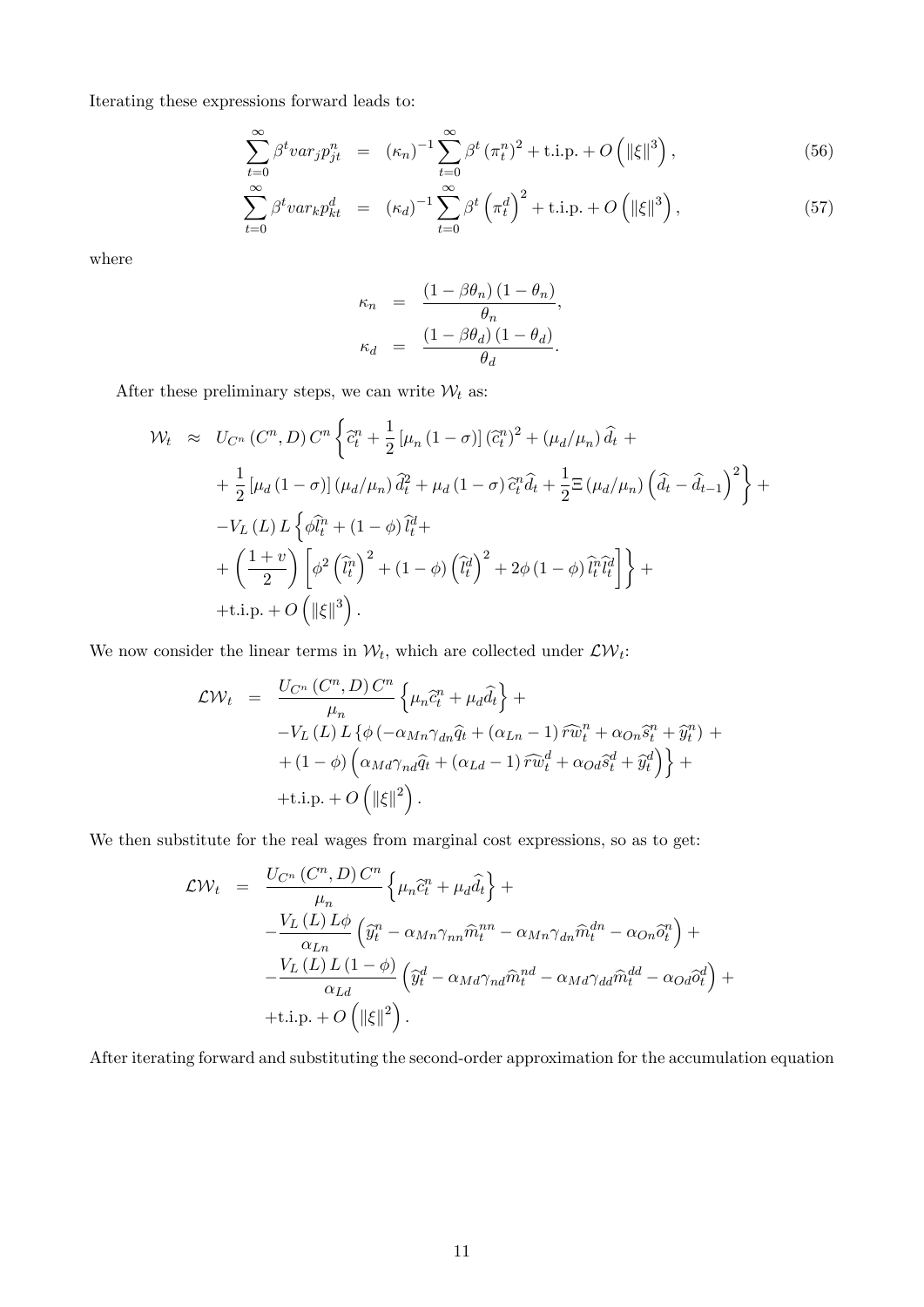Iterating these expressions forward leads to:

$$
\sum_{t=0}^{\infty} \beta^t var_j p_{jt}^n = (\kappa_n)^{-1} \sum_{t=0}^{\infty} \beta^t (\pi_t^n)^2 + \text{i.i.p.} + O\left(\|\xi\|^3\right),\tag{56}
$$

$$
\sum_{t=0}^{\infty} \beta^t var_k p_{kt}^d = (\kappa_d)^{-1} \sum_{t=0}^{\infty} \beta^t \left(\pi_t^d\right)^2 + \text{i.i.p.} + O\left(\|\xi\|^3\right),\tag{57}
$$

where

$$
\kappa_n = \frac{(1 - \beta \theta_n) (1 - \theta_n)}{\theta_n},
$$
  

$$
\kappa_d = \frac{(1 - \beta \theta_d) (1 - \theta_d)}{\theta_d}.
$$

After these preliminary steps, we can write  $\mathcal{W}_t$  as:

$$
\mathcal{W}_t \approx U_{C^n} (C^n, D) C^n \left\{ \tilde{c}_t^n + \frac{1}{2} \left[ \mu_n (1 - \sigma) \right] (\tilde{c}_t^n)^2 + (\mu_d/\mu_n) \tilde{d}_t + \right.
$$
  
+ 
$$
\frac{1}{2} \left[ \mu_d (1 - \sigma) \right] (\mu_d/\mu_n) \tilde{d}_t^2 + \mu_d (1 - \sigma) \tilde{c}_t^n \tilde{d}_t + \frac{1}{2} \Xi (\mu_d/\mu_n) \left( \tilde{d}_t - \tilde{d}_{t-1} \right)^2 \right\} +
$$
  
- 
$$
V_L (L) L \left\{ \phi \tilde{l}_t^n + (1 - \phi) \tilde{l}_t^d + \right.
$$
  
+ 
$$
\left( \frac{1 + v}{2} \right) \left[ \phi^2 \left( \tilde{l}_t^n \right)^2 + (1 - \phi) \left( \tilde{l}_t^d \right)^2 + 2\phi (1 - \phi) \tilde{l}_t^n \tilde{l}_t^d \right] \right\} +
$$
  
+ t.i.p. +  $O \left( \|\xi\|^3 \right).$ 

We now consider the linear terms in  $\mathcal{W}_t$ , which are collected under  $\mathcal{L} \mathcal{W}_t$ :

$$
\mathcal{L}\mathcal{W}_t = \frac{U_{C^n} (C^n, D) C^n}{\mu_n} \left\{ \mu_n \tilde{c}_t^n + \mu_d \tilde{d}_t \right\} +
$$
  
- $V_L (L) L \left\{ \phi \left( -\alpha_{Mn} \gamma_{dn} \hat{q}_t + (\alpha_{Ln} - 1) \tilde{r} \tilde{w}_t^n + \alpha_{On} \tilde{s}_t^n + \tilde{y}_t^n \right) +$   
+  $(1 - \phi) \left( \alpha_{Md} \gamma_{nd} \hat{q}_t + (\alpha_{Ld} - 1) \tilde{r} \tilde{w}_t^d + \alpha_{Od} \tilde{s}_t^d + \tilde{y}_t^d \right) \right\} +$   
+ t.i.p. +  $O (||\xi||^2).$ 

We then substitute for the real wages from marginal cost expressions, so as to get:

$$
\mathcal{L}\mathcal{W}_t = \frac{U_{C^n}(C^n, D) C^n}{\mu_n} \left\{ \mu_n \hat{c}_t^n + \mu_d \hat{d}_t \right\} +
$$
  

$$
-\frac{V_L(L)L\phi}{\alpha_{Ln}} \left( \hat{y}_t^n - \alpha_{Mn} \gamma_{nn} \hat{m}_t^{nn} - \alpha_{Mn} \gamma_{dn} \hat{m}_t^{dn} - \alpha_{On} \hat{o}_t^n \right) +
$$
  

$$
-\frac{V_L(L)L(1-\phi)}{\alpha_{Ld}} \left( \hat{y}_t^d - \alpha_{Md} \gamma_{nd} \hat{m}_t^{nd} - \alpha_{Md} \gamma_{dd} \hat{m}_t^{dd} - \alpha_{Od} \hat{o}_t^d \right) +
$$
  
+ t.i.p. + O (||\xi||^2).

After iterating forward and substituting the second-order approximation for the accumulation equation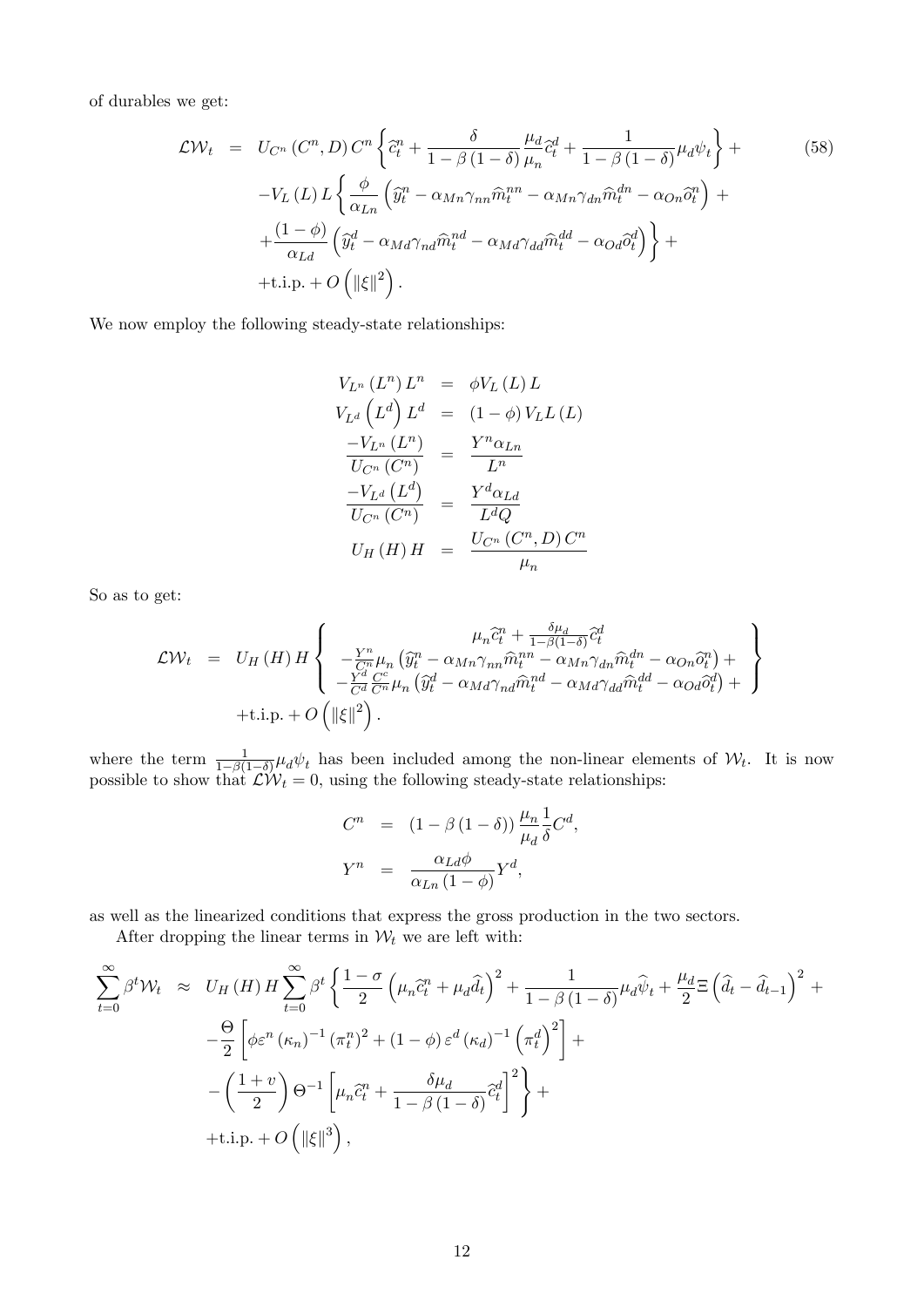of durables we get:

$$
\mathcal{L}\mathcal{W}_t = U_{C^n}(C^n, D) C^n \left\{ \tilde{c}_t^n + \frac{\delta}{1 - \beta(1 - \delta)} \frac{\mu_d}{\mu_n} \tilde{c}_t^d + \frac{1}{1 - \beta(1 - \delta)} \mu_d \psi_t \right\} +
$$
\n
$$
-V_L(L) L \left\{ \frac{\phi}{\alpha_{Ln}} \left( \hat{y}_t^n - \alpha_{Mn} \gamma_{nn} \hat{m}_t^{nn} - \alpha_{Mn} \gamma_{dn} \hat{m}_t^{dn} - \alpha_{On} \hat{o}_t^n \right) + \frac{(1 - \phi)}{\alpha_{Ld}} \left( \hat{y}_t^d - \alpha_{Md} \gamma_{nd} \hat{m}_t^{nd} - \alpha_{Md} \gamma_{dd} \hat{m}_t^{dd} - \alpha_{Od} \hat{o}_t^d \right) \right\} +
$$
\n
$$
+ \text{t.i.p.} + O\left( \|\xi\|^2 \right).
$$
\n(58)

We now employ the following steady-state relationships:

$$
V_{L^n} (L^n) L^n = \phi V_L (L) L
$$
  
\n
$$
V_{L^d} (L^d) L^d = (1 - \phi) V_L L (L)
$$
  
\n
$$
\frac{-V_{L^n} (L^n)}{U_{C^n} (C^n)} = \frac{Y^n \alpha_{Ln}}{L^n}
$$
  
\n
$$
\frac{-V_{L^d} (L^d)}{U_{C^n} (C^n)} = \frac{Y^d \alpha_{Ld}}{L^d Q}
$$
  
\n
$$
U_H (H) H = \frac{U_{C^n} (C^n, D) C^n}{\mu_n}
$$

So as to get:

$$
\mathcal{L}\mathcal{W}_{t} = U_{H}(H) H \left\{ \begin{array}{rcl} \mu_{n}\tilde{c}_{t}^{n} + \frac{\delta\mu_{d}}{1-\beta(1-\delta)}\tilde{c}_{t}^{d} \\ -\frac{Y^{n}}{C^{n}}\mu_{n}\left(\hat{y}_{t}^{n} - \alpha_{Mn}\gamma_{nn}\hat{m}_{t}^{nn} - \alpha_{Mn}\gamma_{dn}\hat{m}_{t}^{dn} - \alpha_{On}\hat{c}_{t}^{n}\right) + \\ -\frac{Y^{d}}{C^{d}}\frac{C^{c}}{C^{n}}\mu_{n}\left(\hat{y}_{t}^{d} - \alpha_{Md}\gamma_{nd}\hat{m}_{t}^{nd} - \alpha_{Md}\gamma_{dd}\hat{m}_{t}^{dd} - \alpha_{Od}\hat{o}_{t}^{d}\right) + \\ + \text{i.i.p.} + O\left(\|\xi\|^{2}\right). \end{array} \right\}
$$

where the term  $\frac{1}{1-\beta(1-\delta)}\mu_d\psi_t$  has been included among the non-linear elements of  $\mathcal{W}_t$ . It is now possible to show that  $\mathcal{L}W_t = 0$ , using the following steady-state relationships:

$$
C^{n} = (1 - \beta (1 - \delta)) \frac{\mu_{n}}{\mu_{d}} \frac{1}{\delta} C^{d},
$$
  

$$
Y^{n} = \frac{\alpha_{Ld} \phi}{\alpha_{Ln} (1 - \phi)} Y^{d},
$$

as well as the linearized conditions that express the gross production in the two sectors.

After dropping the linear terms in  $\mathcal{W}_t$  we are left with:

$$
\sum_{t=0}^{\infty} \beta^t \mathcal{W}_t \approx U_H(H) H \sum_{t=0}^{\infty} \beta^t \left\{ \frac{1-\sigma}{2} \left( \mu_n \tilde{c}_t^n + \mu_d \hat{d}_t \right)^2 + \frac{1}{1-\beta(1-\delta)} \mu_d \hat{\psi}_t + \frac{\mu_d}{2} \mathbb{E} \left( \hat{d}_t - \hat{d}_{t-1} \right)^2 + \frac{\Theta}{2} \left[ \phi \varepsilon^n (\kappa_n)^{-1} (\pi_t^n)^2 + (1-\phi) \varepsilon^d (\kappa_d)^{-1} (\pi_t^d)^2 \right] + \frac{\Theta}{2} \left[ \mu_n \tilde{c}_t^n + \frac{\delta \mu_d}{1-\beta(1-\delta)} \tilde{c}_t^d \right]^2 \right\} + \frac{\Theta}{2} + \text{t.i.p.} + O\left( \|\xi\|^3 \right),
$$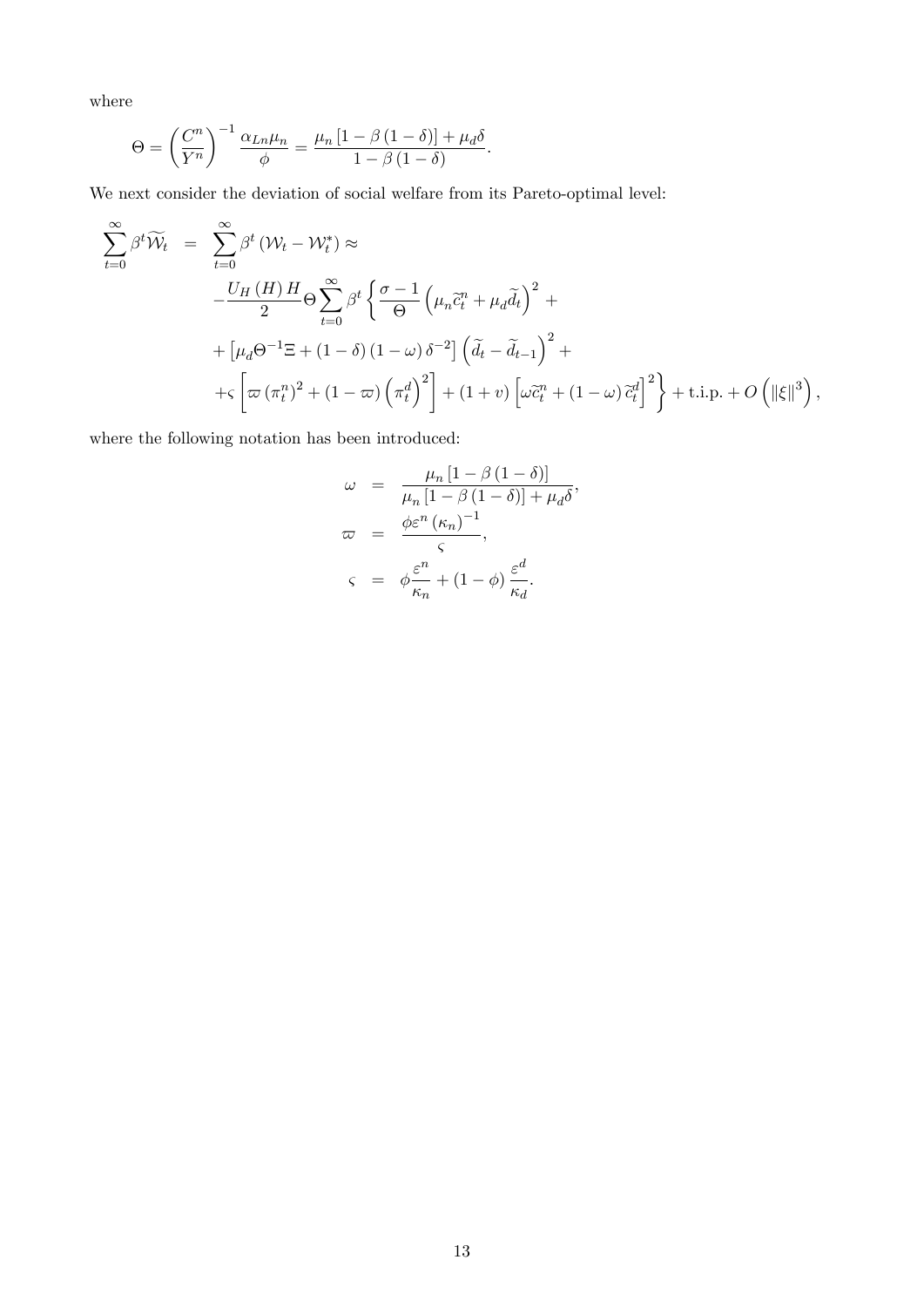where

$$
\Theta = \left(\frac{C^n}{Y^n}\right)^{-1} \frac{\alpha_{Ln}\mu_n}{\phi} = \frac{\mu_n \left[1 - \beta \left(1 - \delta\right)\right] + \mu_d \delta}{1 - \beta \left(1 - \delta\right)}.
$$

We next consider the deviation of social welfare from its Pareto-optimal level:

$$
\sum_{t=0}^{\infty} \beta^t \widetilde{W}_t = \sum_{t=0}^{\infty} \beta^t (W_t - W_t^*) \approx
$$
\n
$$
-\frac{U_H(H)H}{2} \Theta \sum_{t=0}^{\infty} \beta^t \left\{ \frac{\sigma - 1}{\Theta} \left( \mu_n \widetilde{c}_t^n + \mu_d \widetilde{d}_t \right)^2 + \right.
$$
\n
$$
+ \left[ \mu_d \Theta^{-1} \Xi + (1 - \delta) (1 - \omega) \delta^{-2} \right] \left( \widetilde{d}_t - \widetilde{d}_{t-1} \right)^2 + \left. \left[ \varpi (\pi_t^n)^2 + (1 - \varpi) \left( \pi_t^d \right)^2 \right] + (1 + v) \left[ \omega \widetilde{c}_t^n + (1 - \omega) \widetilde{c}_t^d \right]^2 \right\} + \text{ t.i.p.} + O\left( \|\xi\|^3 \right),
$$

where the following notation has been introduced:

$$
\omega = \frac{\mu_n \left[1 - \beta \left(1 - \delta\right)\right]}{\mu_n \left[1 - \beta \left(1 - \delta\right)\right] + \mu_d \delta},
$$

$$
\varpi = \frac{\phi \varepsilon^n \left(\kappa_n\right)^{-1}}{\varsigma},
$$

$$
\varsigma = \phi \frac{\varepsilon^n}{\kappa_n} + \left(1 - \phi\right) \frac{\varepsilon^d}{\kappa_d}.
$$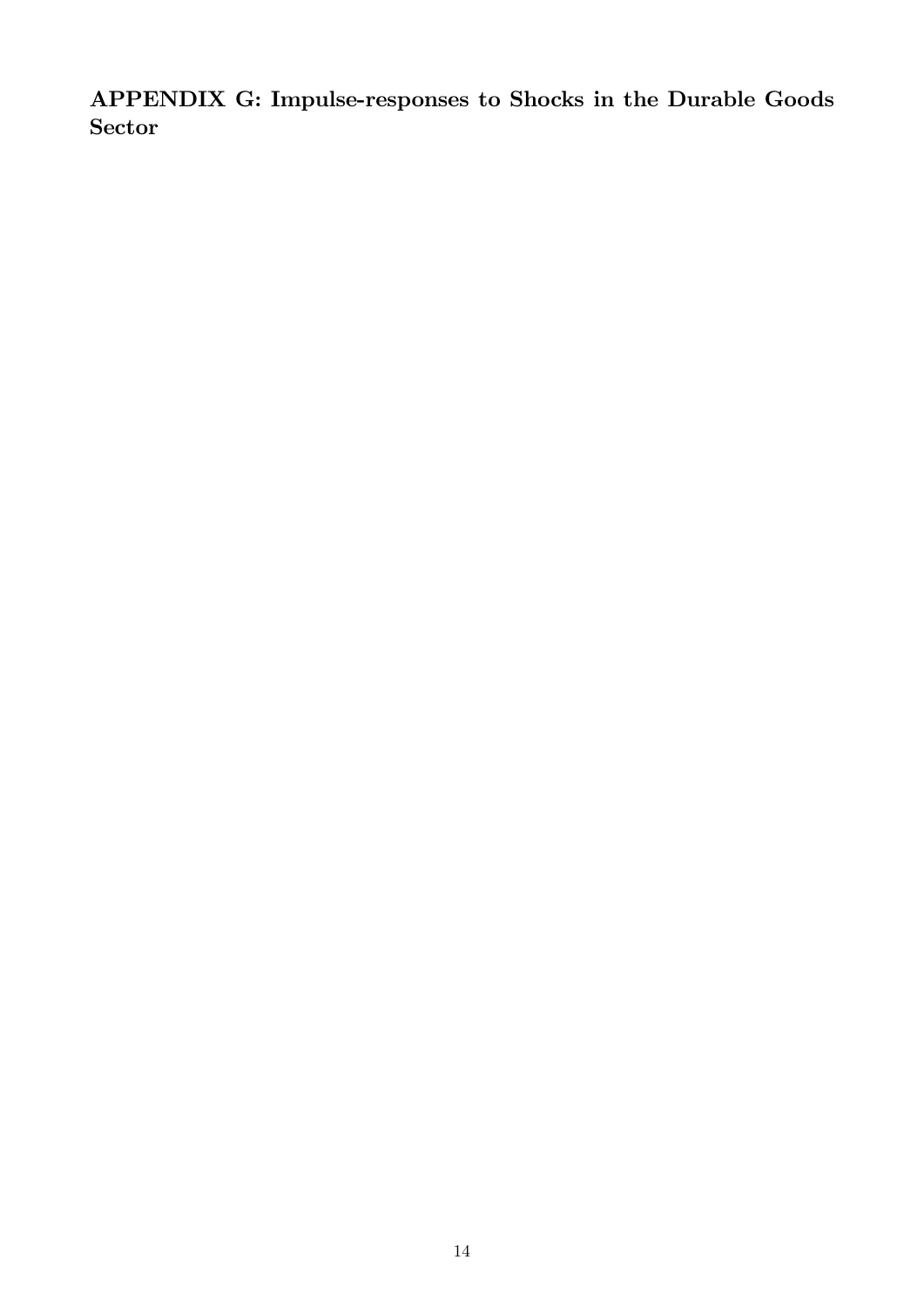APPENDIX G: Impulse-responses to Shocks in the Durable Goods Sector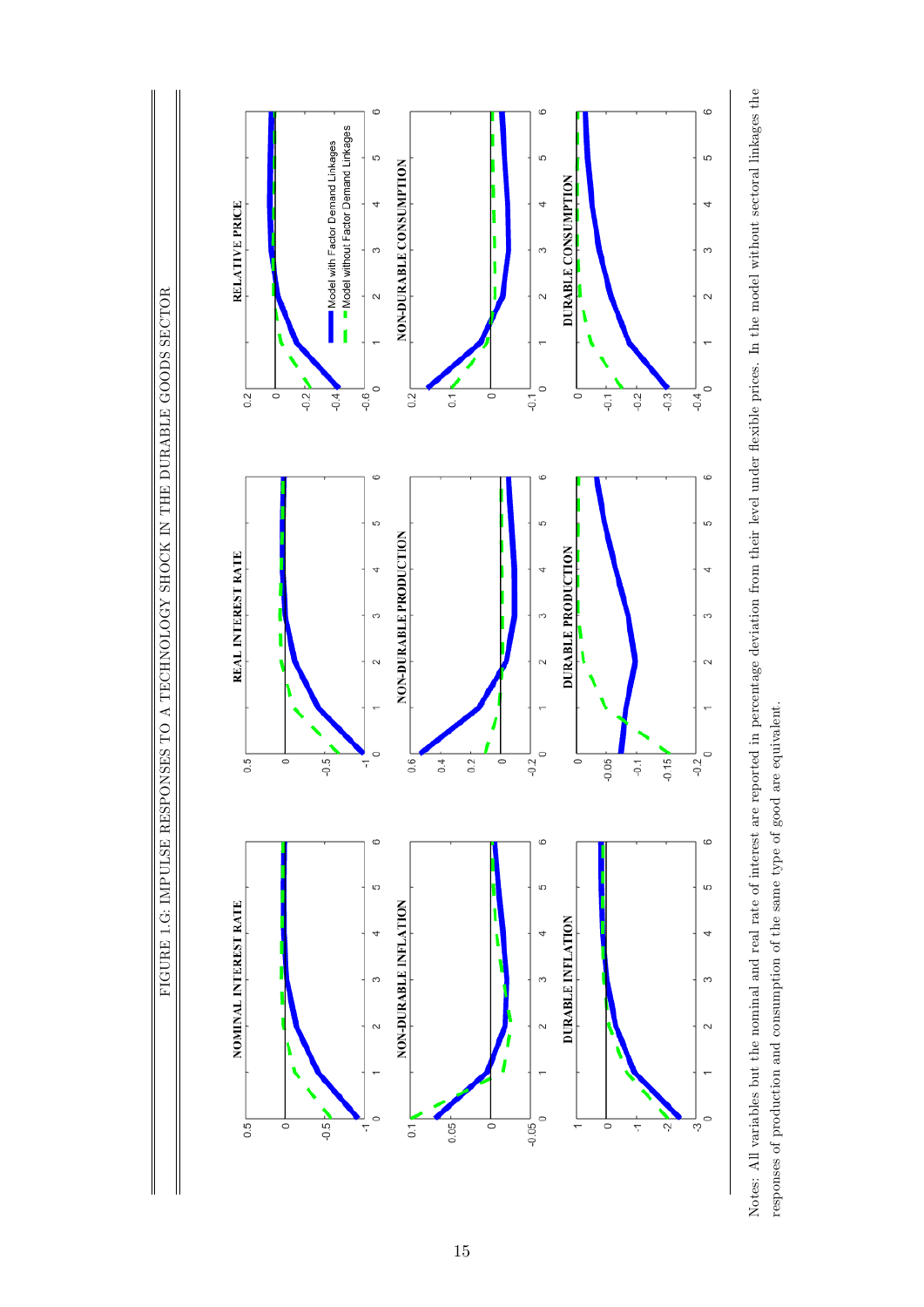FIGURE 1.G: IMPULSE RESPONSES TO A TECHNOLOGY SHOCK IN THE DURABLE GOODS SECTOR FIGURE 1.G: IMPULSE RESPONSES TO A TECHNOLOGY SHOCK IN THE DURABLE GOODS SECTOR



Notes: All variables but the nominal and real rate of interest are reported in percentage deviation from their level under flexible prices. In the model without sectoral linkages the Notes: All variables but the nominal and real rate of interest are reported in percentage deviation from their level under áexible prices. In the model without sectoral linkages the responses of production and consumption of the same type of good are equivalent. responses of production and consumption of the same type of good are equivalent.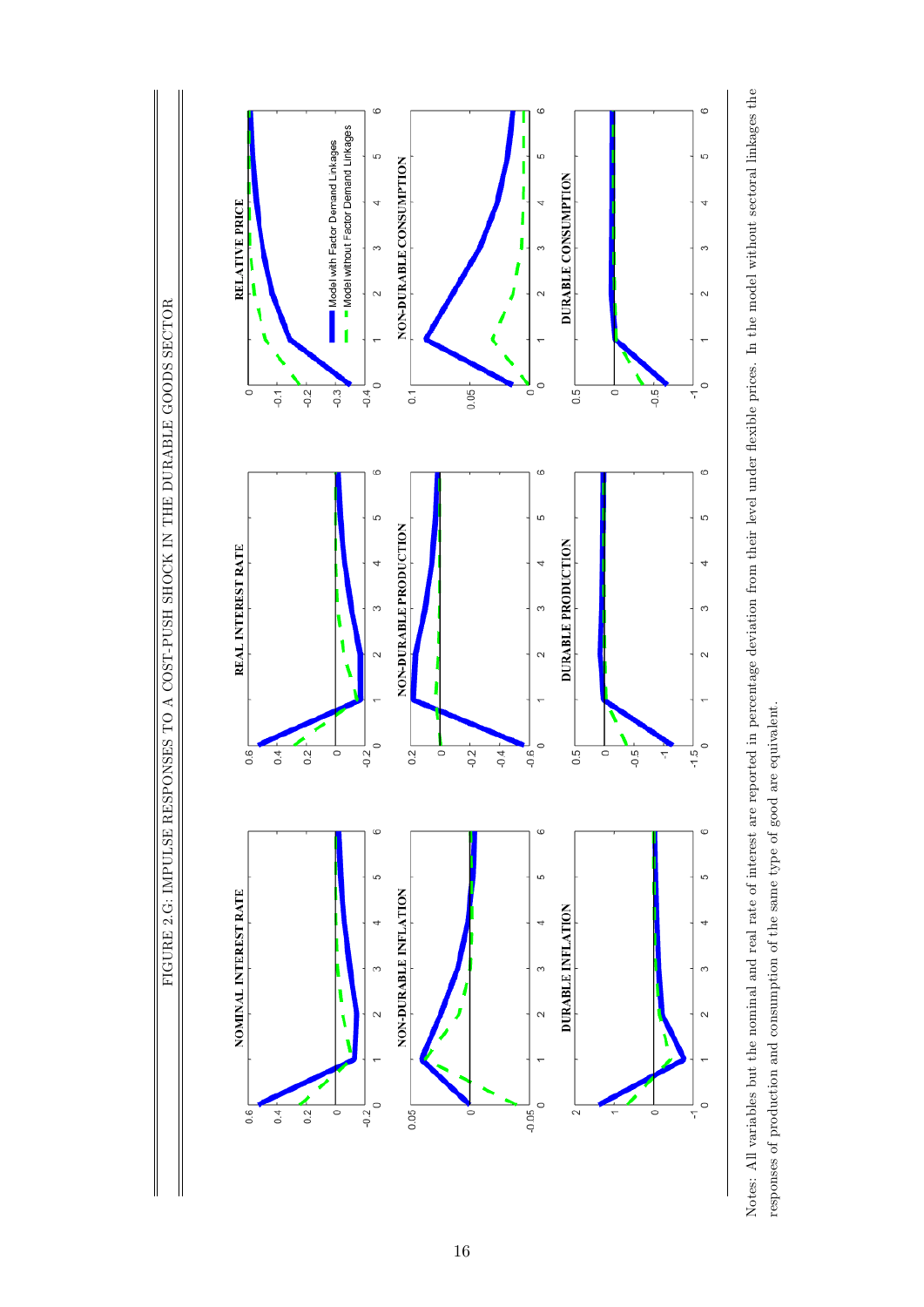FIGURE 2.G: IMPULSE RESPONSES TO A COST-PUSH SHOCK IN THE DURABLE GOODS SECTOR FIGURE 2.G: IMPULSE RESPONSES TO A COST-PUSH SHOCK IN THE DURABLE GOODS SECTOR



Notes: All variables but the nominal and real rate of interest are reported in percentage deviation from their level under flexible prices. In the model without sectoral linkages the Notes: All variables but the nominal and real rate of interest are reported in percentage deviation from their level under áexible prices. In the model without sectoral linkages the responses of production and consumption of the same type of good are equivalent. responses of production and consumption of the same type of good are equivalent.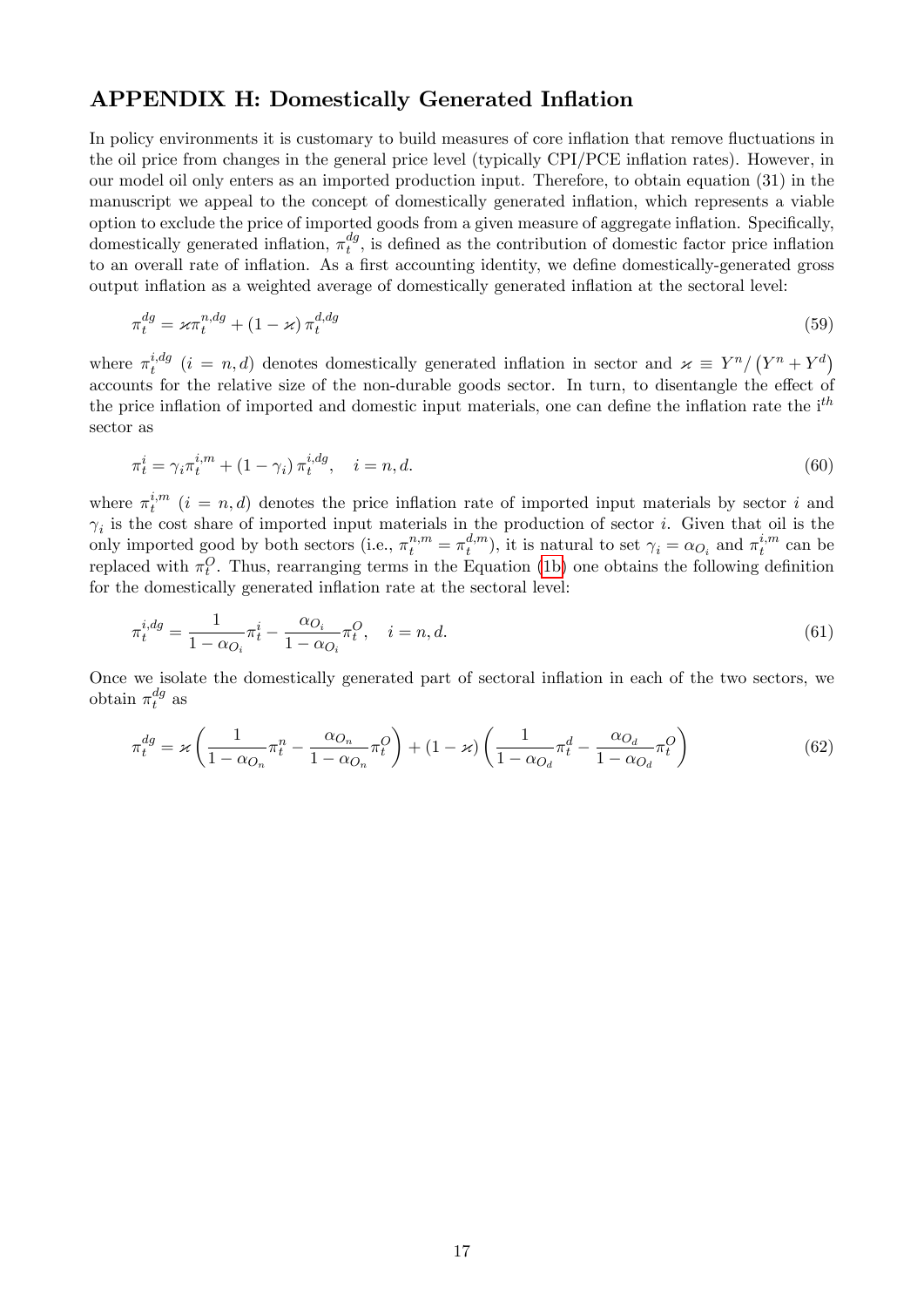#### APPENDIX H: Domestically Generated Inflation

In policy environments it is customary to build measures of core inflation that remove fluctuations in the oil price from changes in the general price level (typically CPI/PCE inflation rates). However, in our model oil only enters as an imported production input. Therefore, to obtain equation (31) in the manuscript we appeal to the concept of domestically generated ináation, which represents a viable option to exclude the price of imported goods from a given measure of aggregate inflation. Specifically, domestically generated inflation,  $\pi_t^{dg}$  $t_t^{ag}$ , is defined as the contribution of domestic factor price inflation to an overall rate of inflation. As a first accounting identity, we define domestically-generated gross output inflation as a weighted average of domestically generated inflation at the sectoral level:

$$
\pi_t^{dg} = \varkappa \pi_t^{n, dg} + (1 - \varkappa) \pi_t^{d, dg} \tag{59}
$$

where  $\pi_t^{i,dg}$  $i, dg$  ( $i = n, d$ ) denotes domestically generated inflation in sector and  $\varkappa \equiv Y^{n}/(Y^{n} + Y^{d})$ accounts for the relative size of the non-durable goods sector. In turn, to disentangle the effect of the price inflation of imported and domestic input materials, one can define the inflation rate the i<sup>th</sup> sector as

$$
\pi_t^i = \gamma_i \pi_t^{i,m} + (1 - \gamma_i) \pi_t^{i,dg}, \quad i = n, d. \tag{60}
$$

where  $\pi_t^{i,m}$  $t_i^{n}$   $(i = n, d)$  denotes the price inflation rate of imported input materials by sector i and  $\gamma_i$  is the cost share of imported input materials in the production of sector *i*. Given that oil is the only imported good by both sectors (i.e.,  $\pi_t^{n,m} = \pi_t^{d,m}$  $t^{d,m}_t$ , it is natural to set  $\gamma_i = \alpha_{O_i}$  and  $\pi_t^{i,m}$  $t^{i,m}$  can be replaced with  $\pi_t^O$ . Thus, rearranging terms in the Equation [\(1b\)](#page-1-0) one obtains the following definition for the domestically generated inflation rate at the sectoral level:

$$
\pi_t^{i,dg} = \frac{1}{1 - \alpha_{O_i}} \pi_t^i - \frac{\alpha_{O_i}}{1 - \alpha_{O_i}} \pi_t^O, \quad i = n, d.
$$
\n(61)

Once we isolate the domestically generated part of sectoral ináation in each of the two sectors, we obtain  $\pi_t^{dg}$  $_t^{ag}$  as

$$
\pi_t^{dg} = \varkappa \left( \frac{1}{1 - \alpha_{O_n}} \pi_t^n - \frac{\alpha_{O_n}}{1 - \alpha_{O_n}} \pi_t^O \right) + (1 - \varkappa) \left( \frac{1}{1 - \alpha_{O_d}} \pi_t^d - \frac{\alpha_{O_d}}{1 - \alpha_{O_d}} \pi_t^O \right)
$$
(62)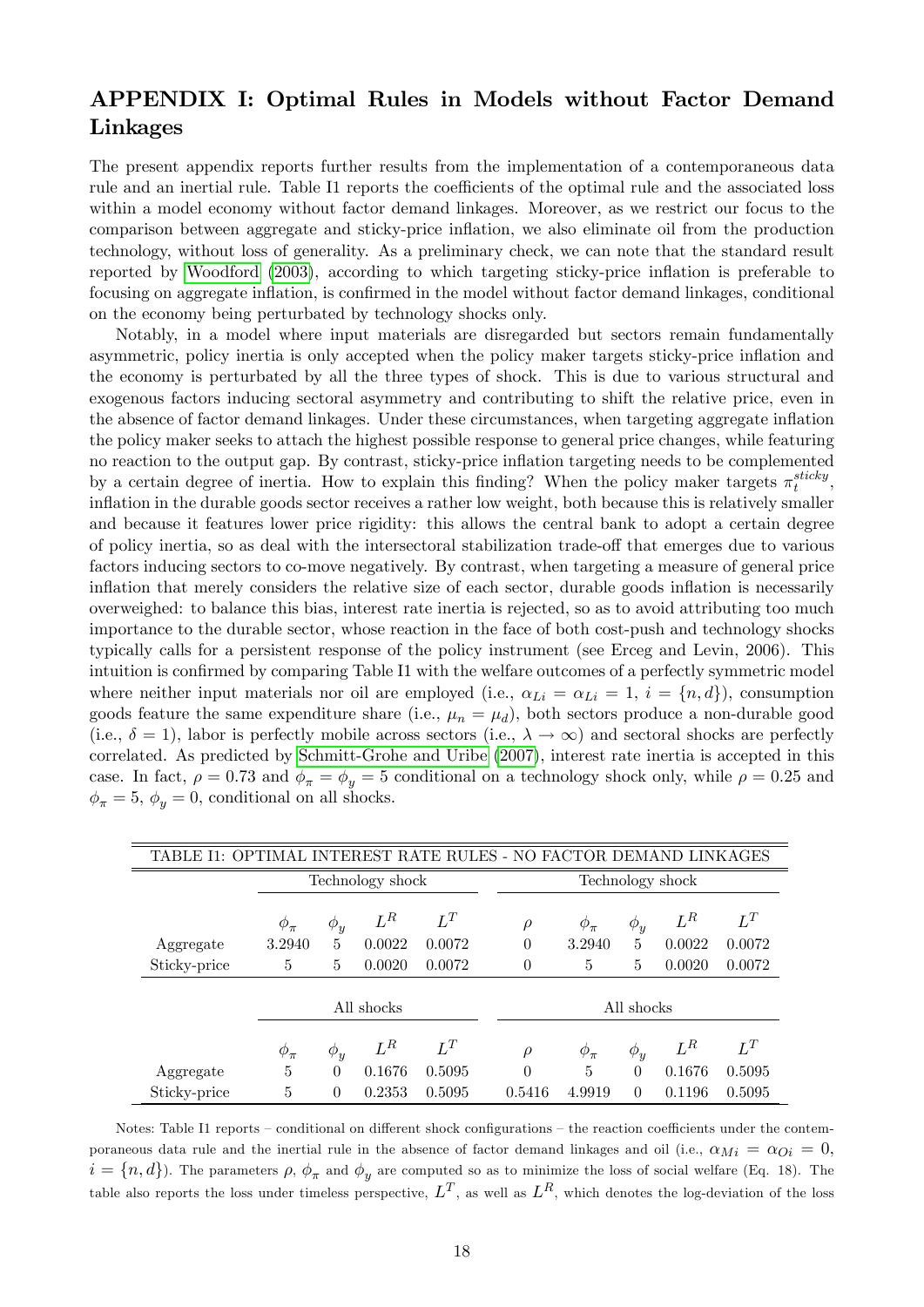### APPENDIX I: Optimal Rules in Models without Factor Demand Linkages

The present appendix reports further results from the implementation of a contemporaneous data rule and an inertial rule. Table I1 reports the coefficients of the optimal rule and the associated loss within a model economy without factor demand linkages. Moreover, as we restrict our focus to the comparison between aggregate and sticky-price inflation, we also eliminate oil from the production technology, without loss of generality. As a preliminary check, we can note that the standard result reported by [Woodford](#page-18-0) [\(2003\)](#page-18-0), according to which targeting sticky-price inflation is preferable to focusing on aggregate inflation, is confirmed in the model without factor demand linkages, conditional on the economy being perturbated by technology shocks only.

Notably, in a model where input materials are disregarded but sectors remain fundamentally asymmetric, policy inertia is only accepted when the policy maker targets sticky-price ináation and the economy is perturbated by all the three types of shock. This is due to various structural and exogenous factors inducing sectoral asymmetry and contributing to shift the relative price, even in the absence of factor demand linkages. Under these circumstances, when targeting aggregate inflation the policy maker seeks to attach the highest possible response to general price changes, while featuring no reaction to the output gap. By contrast, sticky-price ináation targeting needs to be complemented by a certain degree of inertia. How to explain this finding? When the policy maker targets  $\pi_t^{sticky}$  $_t^{sticky},$ inflation in the durable goods sector receives a rather low weight, both because this is relatively smaller and because it features lower price rigidity: this allows the central bank to adopt a certain degree of policy inertia, so as deal with the intersectoral stabilization trade-off that emerges due to various factors inducing sectors to co-move negatively. By contrast, when targeting a measure of general price inflation that merely considers the relative size of each sector, durable goods inflation is necessarily overweighed: to balance this bias, interest rate inertia is rejected, so as to avoid attributing too much importance to the durable sector, whose reaction in the face of both cost-push and technology shocks typically calls for a persistent response of the policy instrument (see Erceg and Levin, 2006). This intuition is confirmed by comparing Table I1 with the welfare outcomes of a perfectly symmetric model where neither input materials nor oil are employed (i.e.,  $\alpha_{Li} = \alpha_{Li} = 1, i = \{n, d\}$ ), consumption goods feature the same expenditure share (i.e.,  $\mu_n = \mu_d$ ), both sectors produce a non-durable good (i.e.,  $\delta = 1$ ), labor is perfectly mobile across sectors (i.e.,  $\lambda \to \infty$ ) and sectoral shocks are perfectly correlated. As predicted by [Schmitt-Grohe and Uribe](#page-18-1) [\(2007\)](#page-18-1), interest rate inertia is accepted in this case. In fact,  $\rho = 0.73$  and  $\phi_{\pi} = \phi_y = 5$  conditional on a technology shock only, while  $\rho = 0.25$  and  $\phi_{\pi} = 5, \phi_{\nu} = 0$ , conditional on all shocks.

| TABLE I1: OPTIMAL INTEREST RATE RULES - NO FACTOR DEMAND LINKAGES |                  |          |        |        |  |                  |              |          |        |        |  |
|-------------------------------------------------------------------|------------------|----------|--------|--------|--|------------------|--------------|----------|--------|--------|--|
|                                                                   | Technology shock |          |        |        |  | Technology shock |              |          |        |        |  |
|                                                                   | $\varphi_{\pi}$  | $\phi_y$ | $L^R$  | $L^T$  |  | $\rho$           | $\phi_{\pi}$ | $\phi_y$ | $L^R$  | $L^T$  |  |
| Aggregate                                                         | 3.2940           | 5        | 0.0022 | 0.0072 |  | $\theta$         | 3.2940       | 5        | 0.0022 | 0.0072 |  |
| Sticky-price                                                      | 5                | 5        | 0.0020 | 0.0072 |  | $\theta$         | 5            | 5        | 0.0020 | 0.0072 |  |
|                                                                   |                  |          |        |        |  |                  |              |          |        |        |  |
|                                                                   | All shocks       |          |        |        |  | All shocks       |              |          |        |        |  |
|                                                                   | $\phi_{\pi}$     | $\phi_y$ | $L^R$  | $L^T$  |  | $\rho$           | $\phi_{\pi}$ | $\phi_y$ | $L^R$  | $L^T$  |  |
| Aggregate                                                         | 5                | $\Omega$ | 0.1676 | 0.5095 |  | $\Omega$         | 5            | 0        | 0.1676 | 0.5095 |  |
| Sticky-price                                                      | 5                | $\theta$ | 0.2353 | 0.5095 |  | 0.5416           | 4.9919       | $\Omega$ | 0.1196 | 0.5095 |  |

Notes: Table I1 reports – conditional on different shock configurations – the reaction coefficients under the contemporaneous data rule and the inertial rule in the absence of factor demand linkages and oil (i.e.,  $\alpha_{Mi} = \alpha_{Di} = 0$ ,  $i = \{n, d\}$ ). The parameters  $\rho$ ,  $\phi_{\pi}$  and  $\phi_{y}$  are computed so as to minimize the loss of social welfare (Eq. 18). The table also reports the loss under timeless perspective,  $L^T$ , as well as  $L^R$ , which denotes the log-deviation of the loss